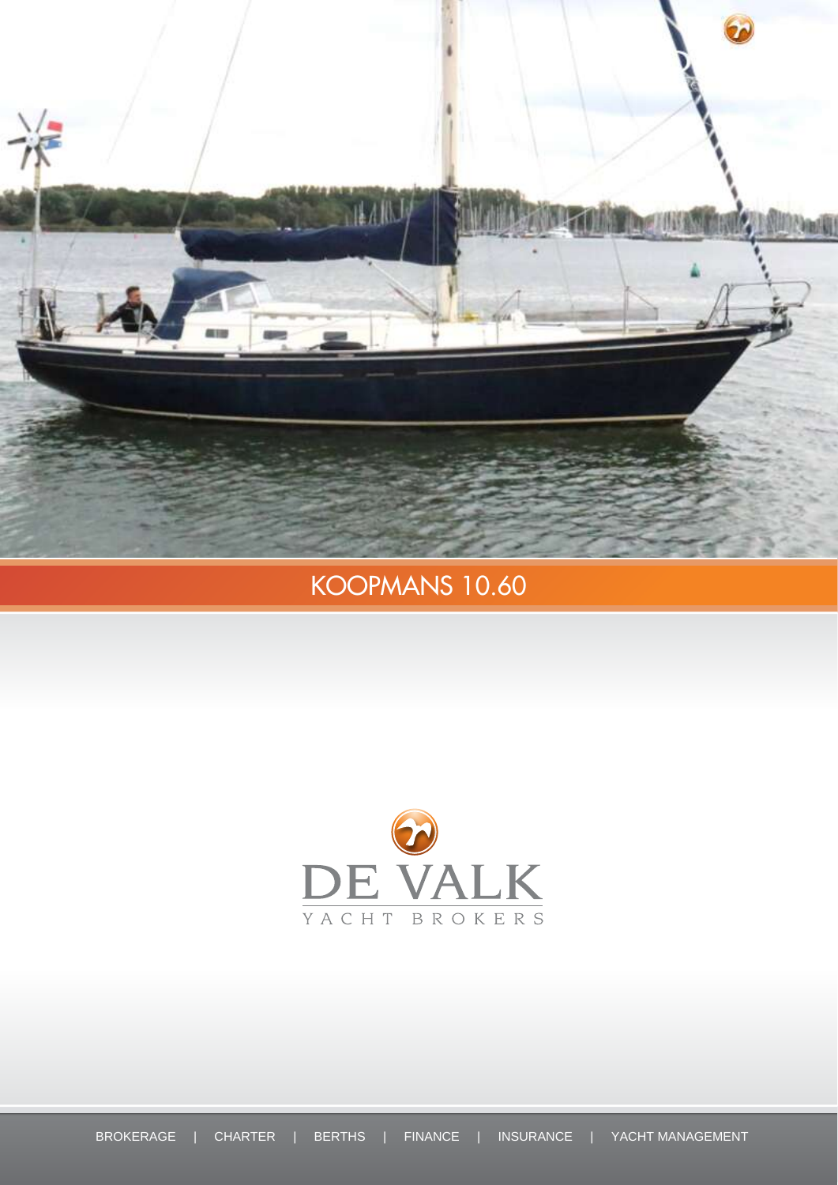

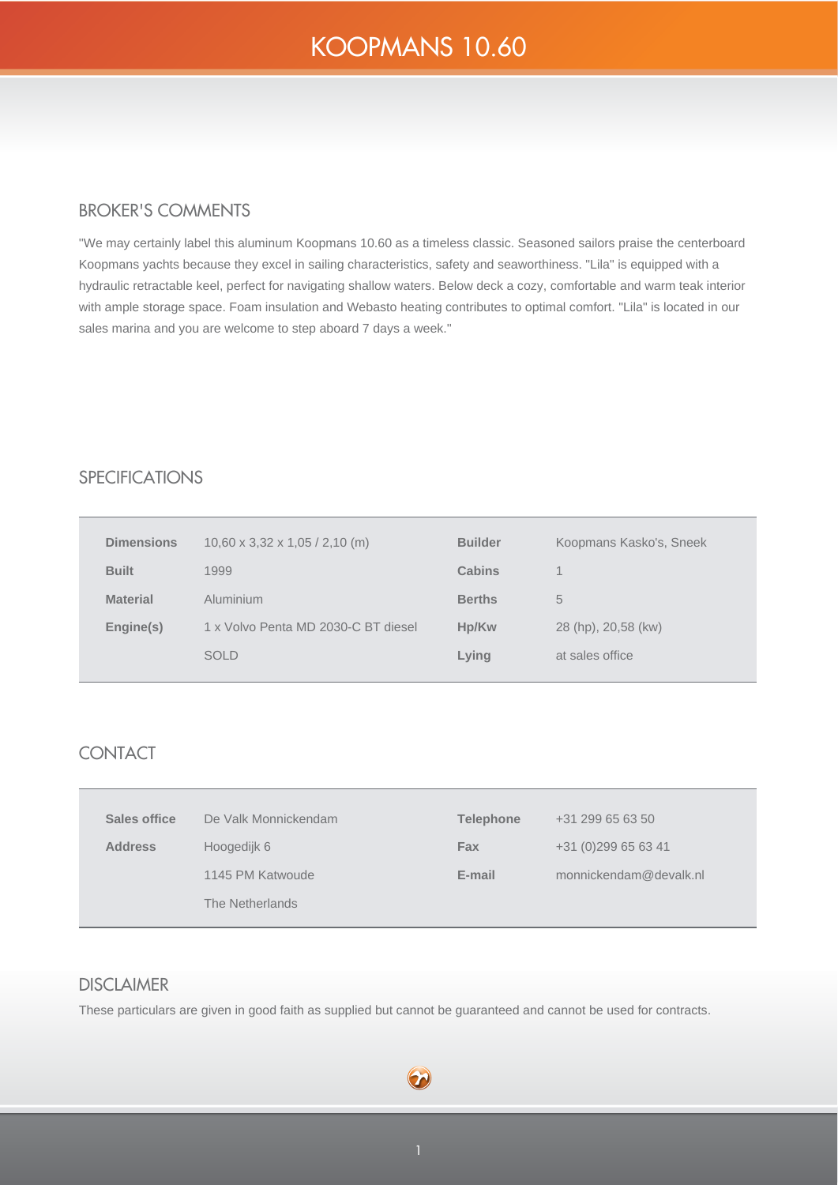#### **BROKER'S COMMENTS**

''We may certainly label this aluminum Koopmans 10.60 as a timeless classic. Seasoned sailors praise the centerboard Koopmans yachts because they excel in sailing characteristics, safety and seaworthiness. "Lila" is equipped with a hydraulic retractable keel, perfect for navigating shallow waters. Below deck a cozy, comfortable and warm teak interior with ample storage space. Foam insulation and Webasto heating contributes to optimal comfort. "Lila" is located in our sales marina and you are welcome to step aboard 7 days a week.''

#### **SPECIFICATIONS**

| <b>Dimensions</b> | $10,60 \times 3,32 \times 1,05 / 2,10$ (m) | <b>Builder</b> | Koopmans Kasko's, Sneek |
|-------------------|--------------------------------------------|----------------|-------------------------|
| <b>Built</b>      | 1999                                       | Cabins         | 1                       |
| <b>Material</b>   | Aluminium                                  | <b>Berths</b>  | $5\overline{5}$         |
| Engine(s)         | 1 x Volvo Penta MD 2030-C BT diesel        | Hp/Kw          | 28 (hp), 20,58 (kw)     |
|                   | <b>SOLD</b>                                | Lying          | at sales office         |
|                   |                                            |                |                         |

### **CONTACT**

| Sales office   | De Valk Monnickendam | <b>Telephone</b> | +31 299 65 63 50       |
|----------------|----------------------|------------------|------------------------|
| <b>Address</b> | Hoogedijk 6          | <b>Fax</b>       | +31 (0) 299 65 63 41   |
|                | 1145 PM Katwoude     | E-mail           | monnickendam@devalk.nl |
|                | The Netherlands      |                  |                        |

#### **DISCLAIMER**

These particulars are given in good faith as supplied but cannot be guaranteed and cannot be used for contracts.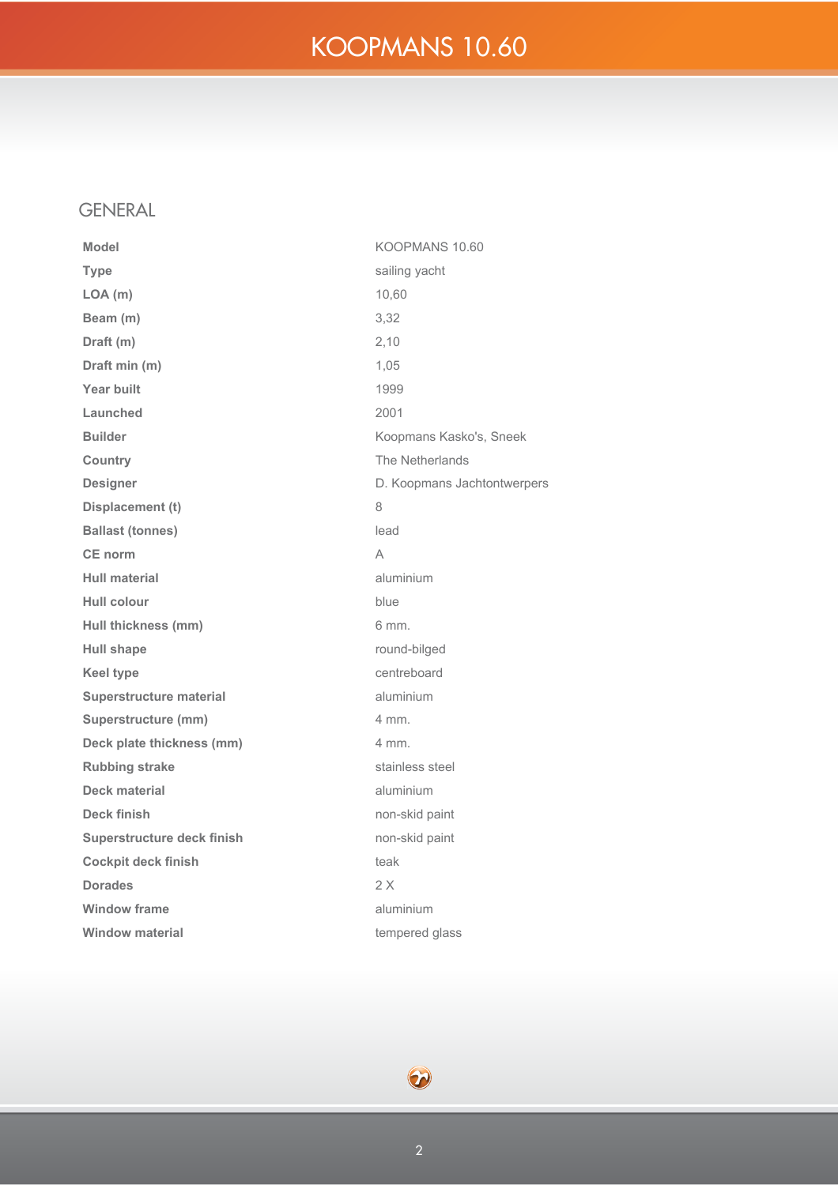#### **GENERAL**

**Model KOOPMANS 10.60 Type sailing yacht LOA (m) 10,60 Beam (m) 3,32 Draft (m) 2,10 Draft min (m) 1,05 Year built 1999 Launched 2001 Builder Koopmans Kasko's, Sneek Country Country The Netherlands Designer D. Koopmans Jachtontwerpers Displacement (t) 8 Ballast (tonnes) lead CE norm A Hull material aluminium Hull colour blue Hull thickness (mm) 6 mm. Hull shape round-bilged Keel type centreboard Superstructure material aluminium Superstructure (mm) 4 mm. Deck plate thickness (mm) 4 mm. Rubbing strake stainless steel Deck material aluminium Deck finish non-skid paint Superstructure deck finish non-skid paint Cockpit deck finish teak Dorades 2 X Window frame aluminium Window material tempered** glass

 $\bm{\omega}$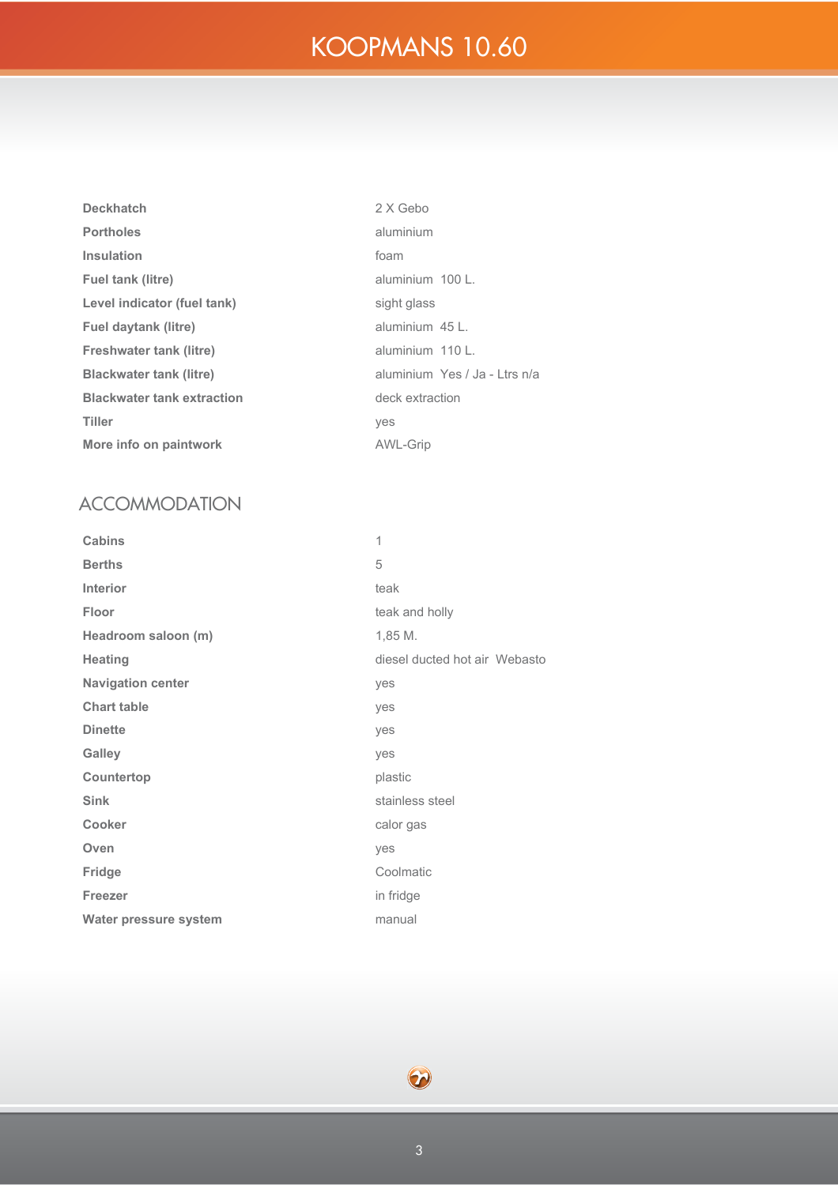| <b>Deckhatch</b>                  | 2 X Gebo                      |
|-----------------------------------|-------------------------------|
| <b>Portholes</b>                  | aluminium                     |
| Insulation                        | foam                          |
| <b>Fuel tank (litre)</b>          | aluminium 100 L.              |
| Level indicator (fuel tank)       | sight glass                   |
| Fuel daytank (litre)              | aluminium 45 L.               |
| <b>Freshwater tank (litre)</b>    | aluminium 110 L.              |
| <b>Blackwater tank (litre)</b>    | aluminium Yes / Ja - Ltrs n/a |
| <b>Blackwater tank extraction</b> | deck extraction               |
| <b>Tiller</b>                     | ves                           |
| More info on paintwork            | AWL-Grip                      |
|                                   |                               |

### **ACCOMMODATION**

| <b>Cabins</b>            | 1                             |
|--------------------------|-------------------------------|
| <b>Berths</b>            | 5                             |
| <b>Interior</b>          | teak                          |
| Floor                    | teak and holly                |
| Headroom saloon (m)      | 1,85 M.                       |
| <b>Heating</b>           | diesel ducted hot air Webasto |
| <b>Navigation center</b> | yes                           |
| <b>Chart table</b>       | yes                           |
| <b>Dinette</b>           | yes                           |
| Galley                   | yes                           |
| Countertop               | plastic                       |
| <b>Sink</b>              | stainless steel               |
| Cooker                   | calor gas                     |
| Oven                     | yes                           |
| <b>Fridge</b>            | Coolmatic                     |
| Freezer                  | in fridge                     |
| Water pressure system    | manual                        |
|                          |                               |

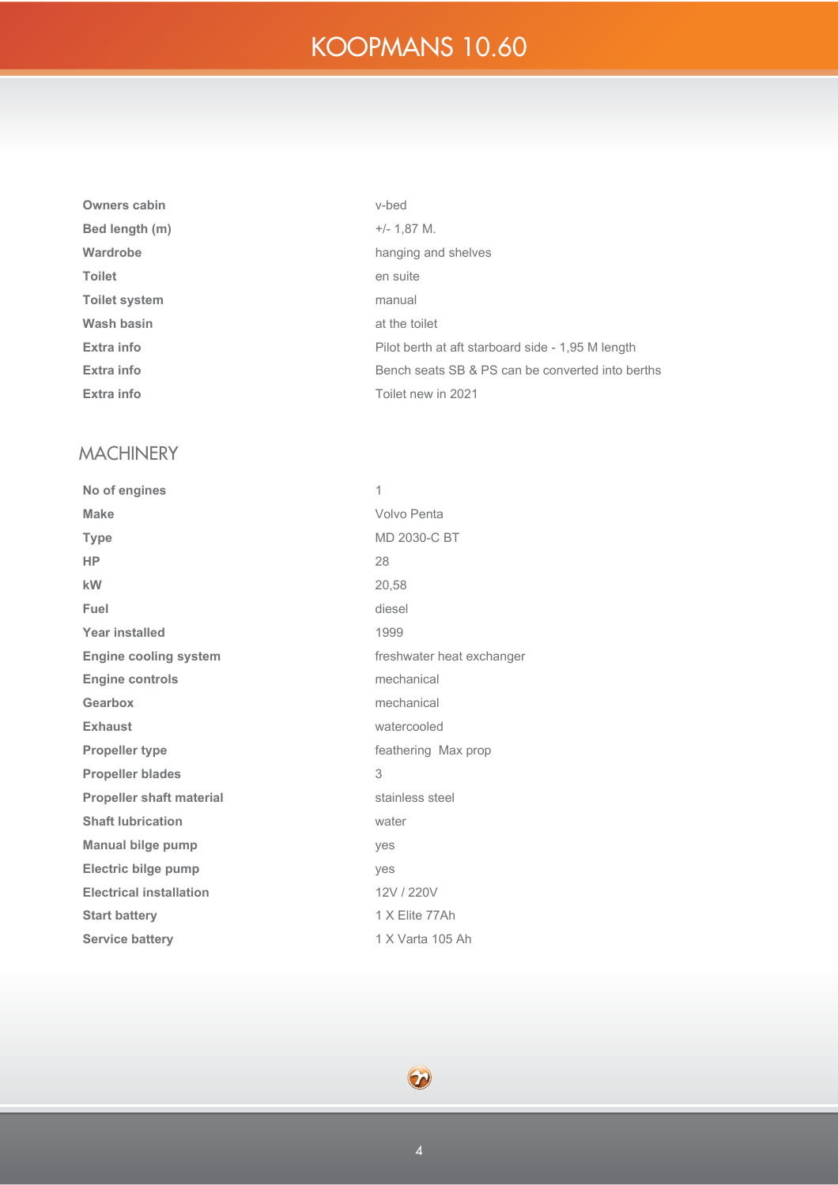| Owners cabin         | v-bed                                             |
|----------------------|---------------------------------------------------|
| Bed length (m)       | $+/- 1.87$ M.                                     |
| Wardrobe             | hanging and shelves                               |
| <b>Toilet</b>        | en suite                                          |
| <b>Toilet system</b> | manual                                            |
| Wash basin           | at the toilet                                     |
| Extra info           | Pilot berth at aft starboard side - 1,95 M length |
| Extra info           | Bench seats SB & PS can be converted into berths  |
| <b>Extra info</b>    | Toilet new in 2021                                |
|                      |                                                   |

### **MACHINERY**

| No of engines                   | 1                         |
|---------------------------------|---------------------------|
| Make                            | Volvo Penta               |
| <b>Type</b>                     | MD 2030-C BT              |
| <b>HP</b>                       | 28                        |
| kW                              | 20,58                     |
| Fuel                            | diesel                    |
| Year installed                  | 1999                      |
| <b>Engine cooling system</b>    | freshwater heat exchanger |
| <b>Engine controls</b>          | mechanical                |
| Gearbox                         | mechanical                |
| <b>Exhaust</b>                  | watercooled               |
| <b>Propeller type</b>           | feathering Max prop       |
| <b>Propeller blades</b>         | 3                         |
| <b>Propeller shaft material</b> | stainless steel           |
| <b>Shaft lubrication</b>        | water                     |
| <b>Manual bilge pump</b>        | yes                       |
| <b>Electric bilge pump</b>      | yes                       |
| <b>Electrical installation</b>  | 12V / 220V                |
| <b>Start battery</b>            | 1 X Elite 77Ah            |
| <b>Service battery</b>          | 1 X Varta 105 Ah          |

 $\bullet$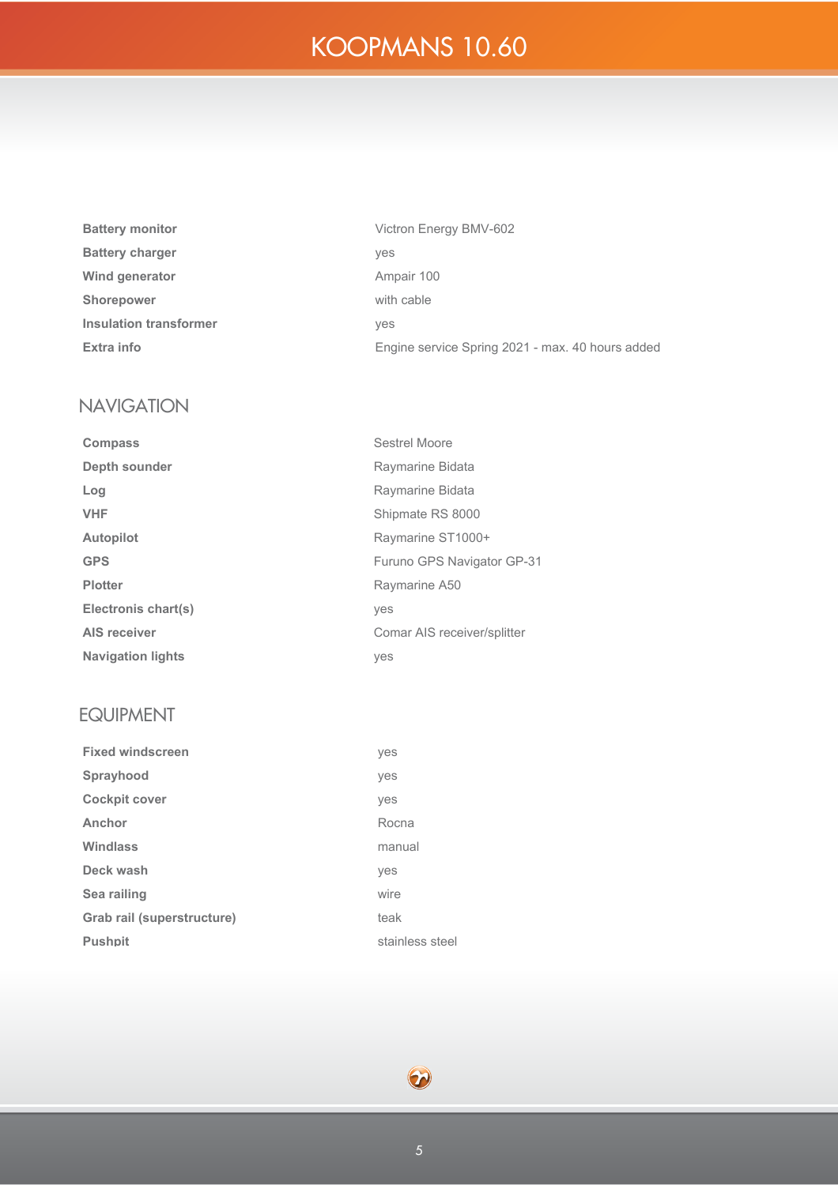| <b>Battery monitor</b> | Victron Energy BMV-602                           |
|------------------------|--------------------------------------------------|
| <b>Battery charger</b> | yes                                              |
| Wind generator         | Ampair 100                                       |
| Shorepower             | with cable                                       |
| Insulation transformer | yes                                              |
| Extra info             | Engine service Spring 2021 - max. 40 hours added |

#### **NAVIGATION**

| <b>Compass</b>           | Sestrel Moore               |
|--------------------------|-----------------------------|
| Depth sounder            | Raymarine Bidata            |
| Log                      | Raymarine Bidata            |
| <b>VHF</b>               | Shipmate RS 8000            |
| <b>Autopilot</b>         | Raymarine ST1000+           |
| <b>GPS</b>               | Furuno GPS Navigator GP-31  |
| <b>Plotter</b>           | Raymarine A50               |
| Electronis chart(s)      | yes                         |
| <b>AIS receiver</b>      | Comar AIS receiver/splitter |
| <b>Navigation lights</b> | yes                         |

### **EQUIPMENT**

| <b>Fixed windscreen</b>    | yes             |
|----------------------------|-----------------|
| Sprayhood                  | yes             |
| <b>Cockpit cover</b>       | yes             |
| Anchor                     | Rocna           |
| <b>Windlass</b>            | manual          |
| Deck wash                  | yes             |
| Sea railing                | wire            |
| Grab rail (superstructure) | teak            |
| <b>Pushpit</b>             | stainless steel |
|                            |                 |

 $\bigcirc$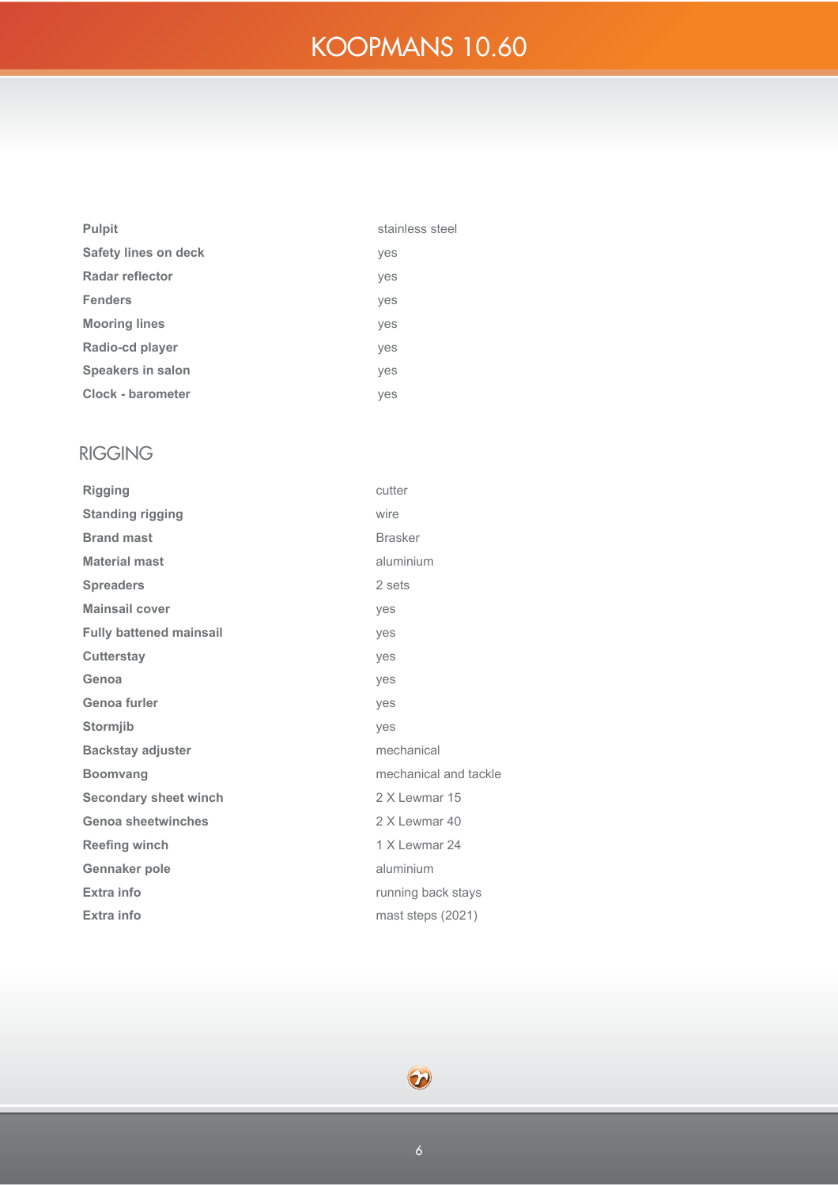| <b>Pulpit</b>               | stainless steel |
|-----------------------------|-----------------|
| <b>Safety lines on deck</b> | yes             |
| Radar reflector             | yes             |
| <b>Fenders</b>              | yes             |
| <b>Mooring lines</b>        | yes             |
| Radio-cd player             | yes             |
| <b>Speakers in salon</b>    | yes             |
| <b>Clock - barometer</b>    | yes             |

### **RIGGING**

| <b>Rigging</b>                 | cutter                |
|--------------------------------|-----------------------|
| <b>Standing rigging</b>        | wire                  |
| <b>Brand mast</b>              | <b>Brasker</b>        |
| <b>Material mast</b>           | aluminium             |
| <b>Spreaders</b>               | 2 sets                |
| <b>Mainsail cover</b>          | yes                   |
| <b>Fully battened mainsail</b> | yes                   |
| <b>Cutterstay</b>              | yes                   |
| Genoa                          | yes                   |
| Genoa furler                   | yes                   |
| <b>Stormjib</b>                | ves                   |
| <b>Backstay adjuster</b>       | mechanical            |
| <b>Boomvang</b>                | mechanical and tackle |
| <b>Secondary sheet winch</b>   | 2 X Lewmar 15         |
| Genoa sheetwinches             | 2 X Lewmar 40         |
| <b>Reefing winch</b>           | 1 X I ewmar 24        |
| Gennaker pole                  | aluminium             |
| Extra info                     | running back stays    |
| Extra info                     | mast steps (2021)     |
|                                |                       |

 $\bigodot$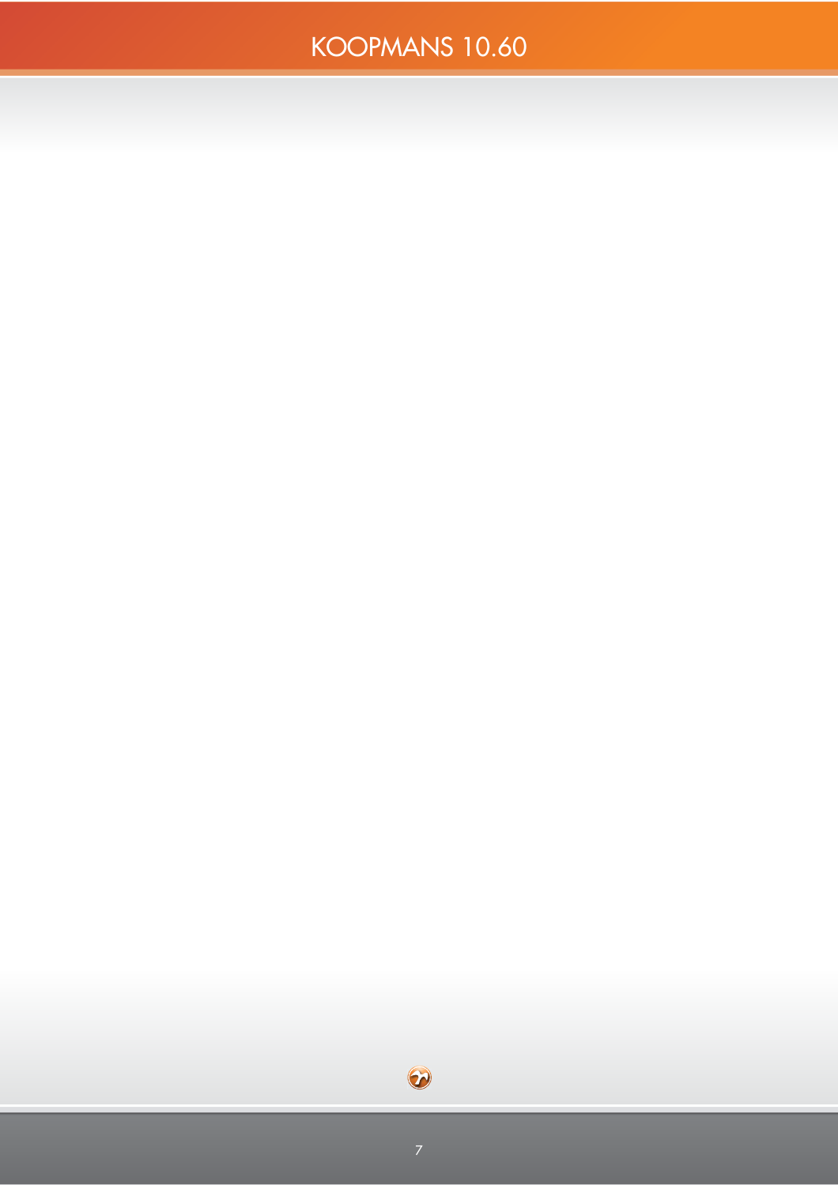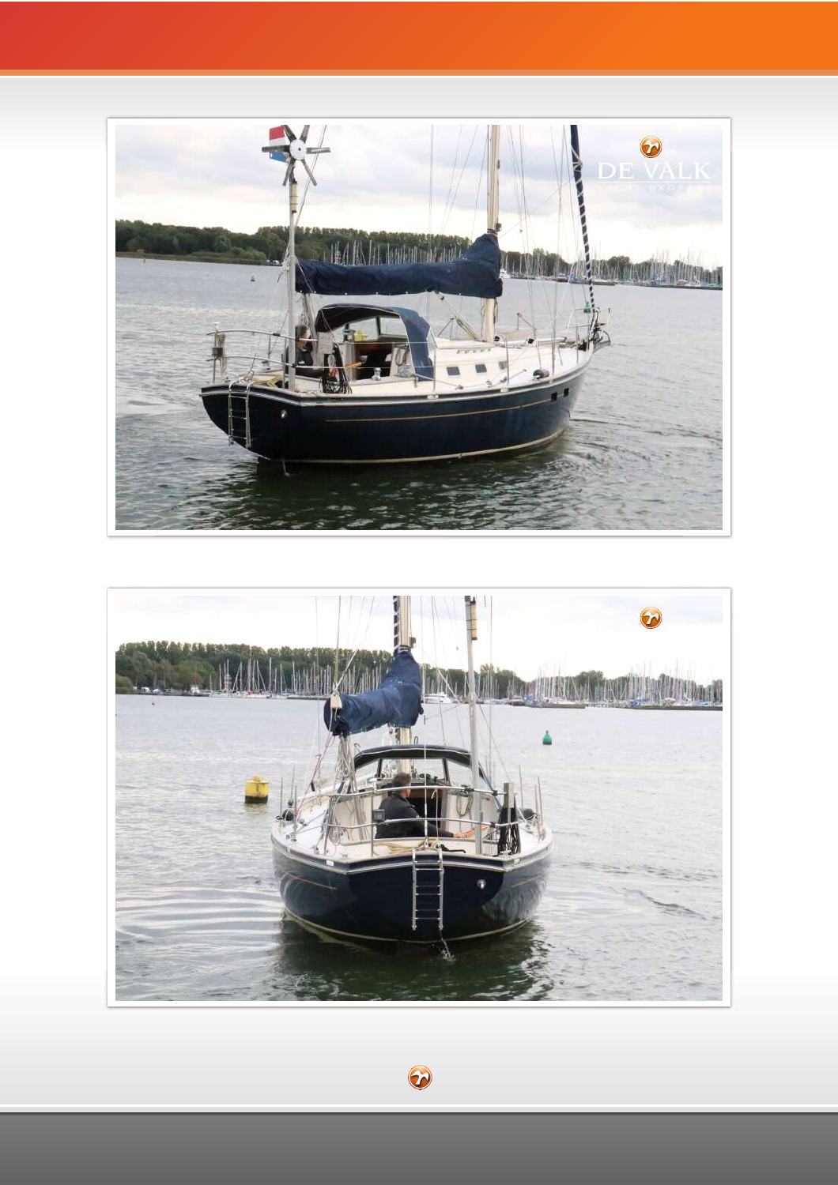### .2230\$16



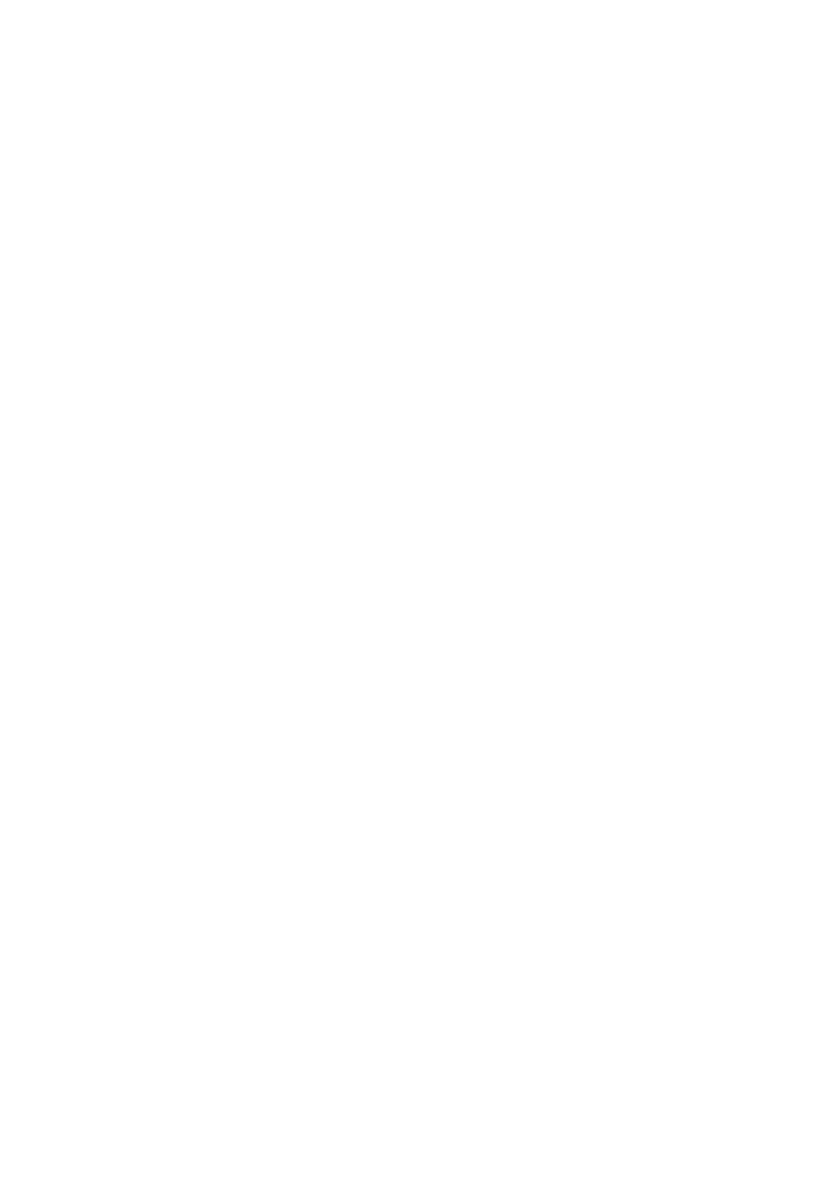| ---- |  |
|------|--|
|      |  |
|      |  |
|      |  |
|      |  |
|      |  |
|      |  |
|      |  |
|      |  |
|      |  |
|      |  |
|      |  |
|      |  |
|      |  |
|      |  |
|      |  |
|      |  |
|      |  |
|      |  |
|      |  |
|      |  |
|      |  |
|      |  |
|      |  |
|      |  |
|      |  |
|      |  |
|      |  |
|      |  |
|      |  |
|      |  |
|      |  |
|      |  |
|      |  |
|      |  |
|      |  |
|      |  |
|      |  |
|      |  |
|      |  |
|      |  |
|      |  |
|      |  |
|      |  |
|      |  |
|      |  |
|      |  |
|      |  |
|      |  |
|      |  |
|      |  |
|      |  |
|      |  |
|      |  |
|      |  |
|      |  |
|      |  |
|      |  |
|      |  |

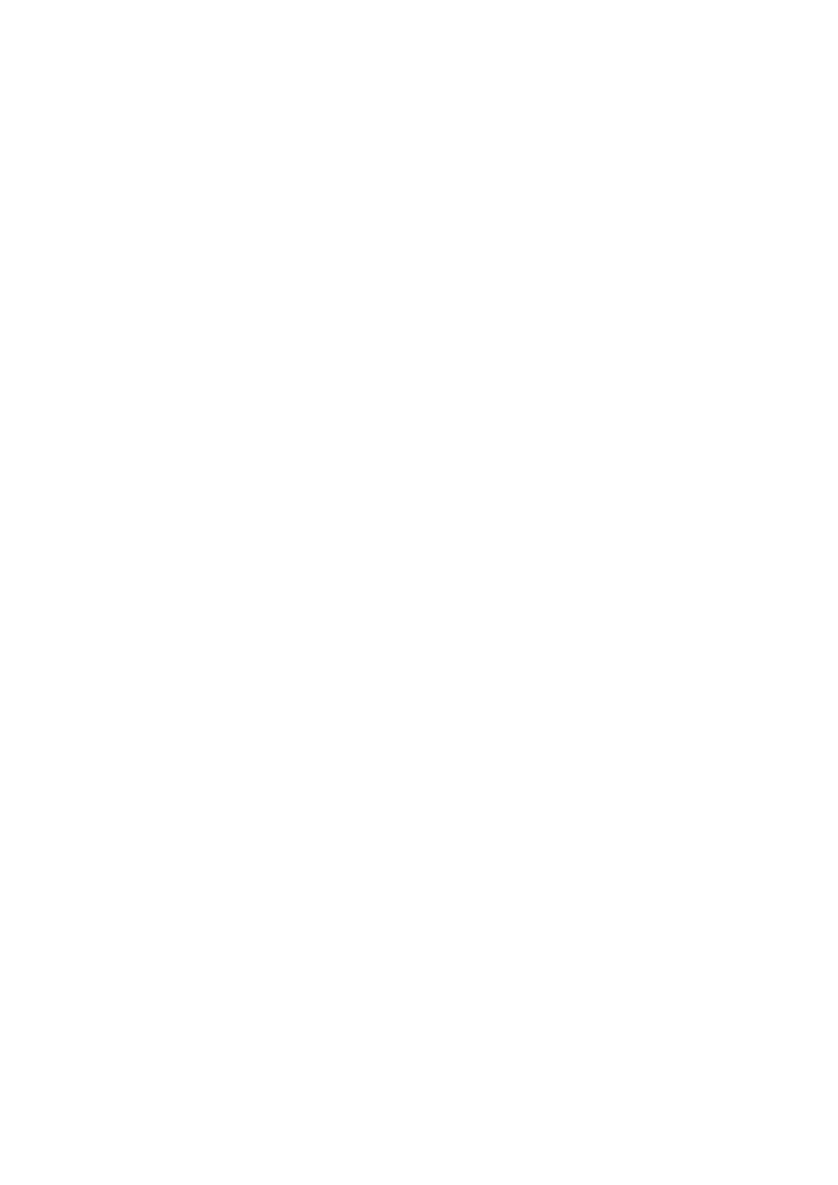| ---- |  |
|------|--|
|      |  |
|      |  |
|      |  |
|      |  |
|      |  |
|      |  |
|      |  |
|      |  |
|      |  |
|      |  |
|      |  |
|      |  |
|      |  |
|      |  |
|      |  |
|      |  |
|      |  |
|      |  |
|      |  |
|      |  |
|      |  |
|      |  |
|      |  |
|      |  |
|      |  |
|      |  |
|      |  |
|      |  |
|      |  |
|      |  |
|      |  |
|      |  |
|      |  |
|      |  |
|      |  |
|      |  |
|      |  |
|      |  |
|      |  |
|      |  |
|      |  |
|      |  |
|      |  |
|      |  |
|      |  |
|      |  |
|      |  |
|      |  |
|      |  |
|      |  |
|      |  |
|      |  |
|      |  |
|      |  |
|      |  |
|      |  |
|      |  |
|      |  |

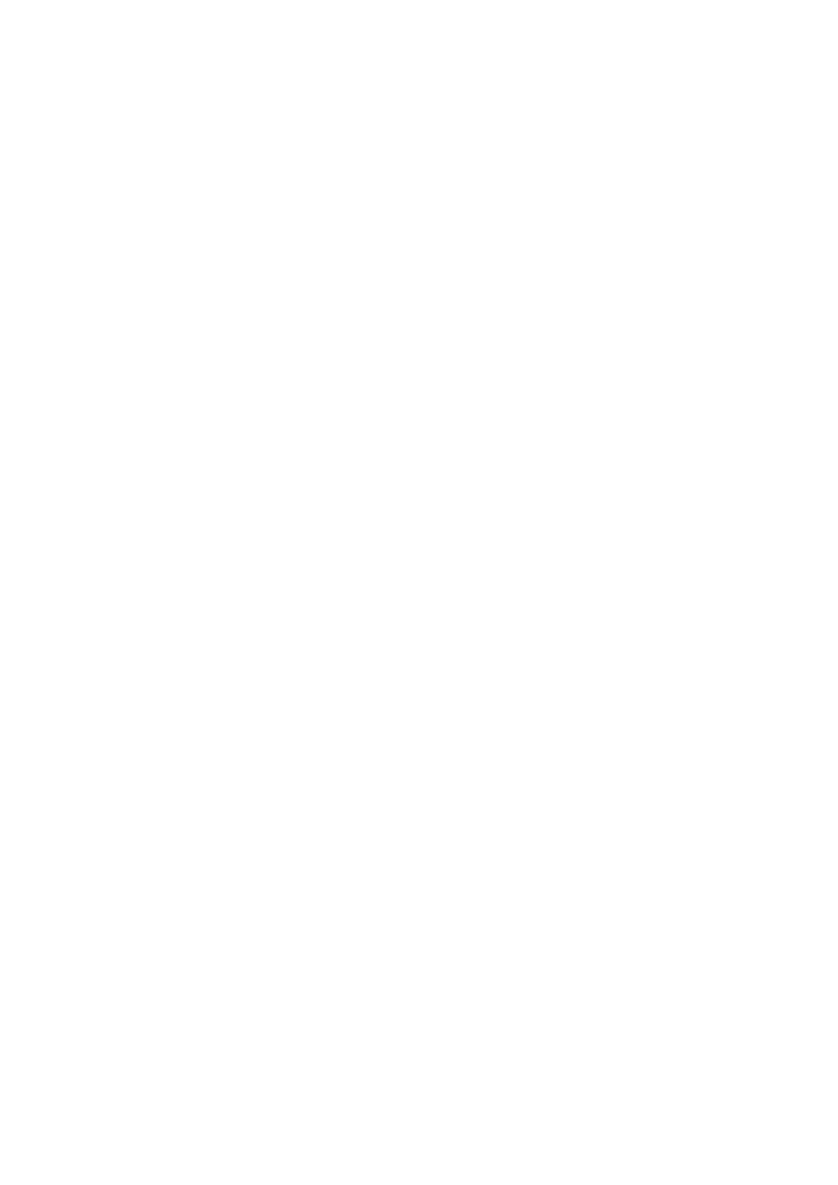| ---- |  |
|------|--|
|      |  |
|      |  |
|      |  |
|      |  |
|      |  |
|      |  |
|      |  |
|      |  |
|      |  |
|      |  |
|      |  |
|      |  |
|      |  |
|      |  |
|      |  |
|      |  |
|      |  |
|      |  |
|      |  |
|      |  |
|      |  |
|      |  |
|      |  |
|      |  |
|      |  |
|      |  |
|      |  |
|      |  |
|      |  |
|      |  |
|      |  |
|      |  |
|      |  |
|      |  |
|      |  |
|      |  |
|      |  |
|      |  |
|      |  |
|      |  |
|      |  |
|      |  |
|      |  |
|      |  |
|      |  |
|      |  |
|      |  |
|      |  |
|      |  |
|      |  |
|      |  |
|      |  |
|      |  |
|      |  |
|      |  |
|      |  |
|      |  |
|      |  |

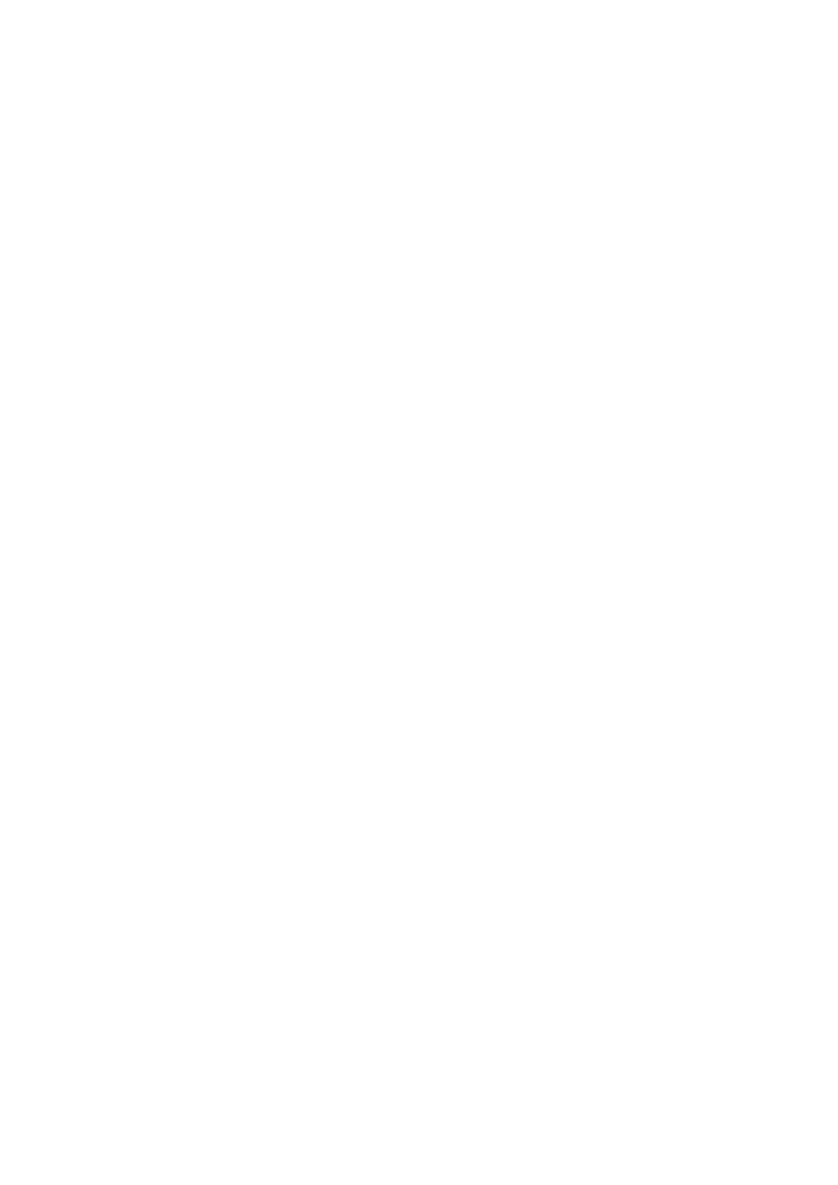| ---- |  |
|------|--|
|      |  |
|      |  |
|      |  |
|      |  |
|      |  |
|      |  |
|      |  |
|      |  |
|      |  |
|      |  |
|      |  |
|      |  |
|      |  |
|      |  |
|      |  |
|      |  |
|      |  |
|      |  |
|      |  |
|      |  |
|      |  |
|      |  |
|      |  |
|      |  |
|      |  |
|      |  |
|      |  |
|      |  |
|      |  |
|      |  |
|      |  |
|      |  |
|      |  |
|      |  |
|      |  |
|      |  |
|      |  |
|      |  |
|      |  |
|      |  |
|      |  |
|      |  |
|      |  |
|      |  |
|      |  |
|      |  |
|      |  |
|      |  |
|      |  |
|      |  |
|      |  |
|      |  |
|      |  |
|      |  |
|      |  |
|      |  |
|      |  |
|      |  |

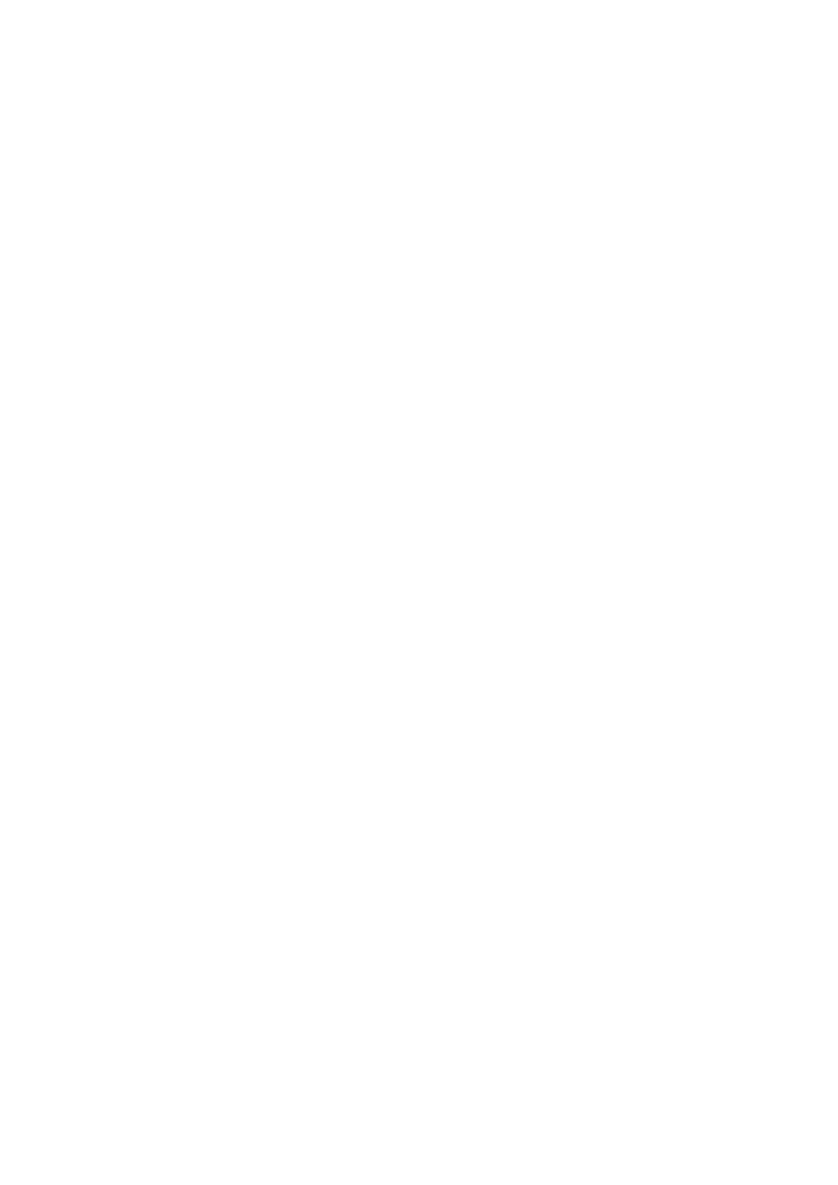| ---- |  |
|------|--|
|      |  |
|      |  |
|      |  |
|      |  |
|      |  |
|      |  |
|      |  |
|      |  |
|      |  |
|      |  |
|      |  |
|      |  |
|      |  |
|      |  |
|      |  |
|      |  |
|      |  |
|      |  |
|      |  |
|      |  |
|      |  |
|      |  |
|      |  |
|      |  |
|      |  |
|      |  |
|      |  |
|      |  |
|      |  |
|      |  |
|      |  |
|      |  |
|      |  |
|      |  |
|      |  |
|      |  |
|      |  |
|      |  |
|      |  |
|      |  |
|      |  |
|      |  |
|      |  |
|      |  |
|      |  |
|      |  |
|      |  |
|      |  |
|      |  |
|      |  |
|      |  |
|      |  |
|      |  |
|      |  |
|      |  |
|      |  |
|      |  |
|      |  |

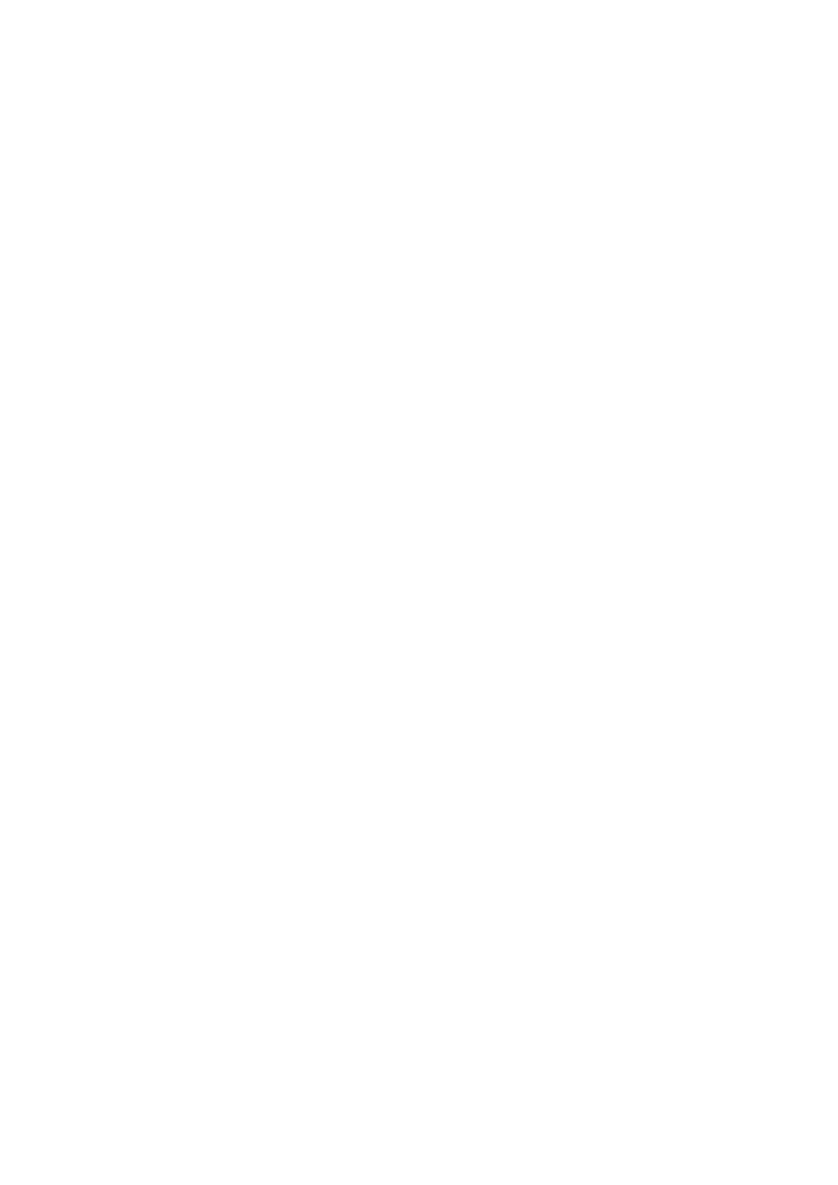| ---- |  |
|------|--|
|      |  |
|      |  |
|      |  |
|      |  |
|      |  |
|      |  |
|      |  |
|      |  |
|      |  |
|      |  |
|      |  |
|      |  |
|      |  |
|      |  |
|      |  |
|      |  |
|      |  |
|      |  |
|      |  |
|      |  |
|      |  |
|      |  |
|      |  |
|      |  |
|      |  |
|      |  |
|      |  |
|      |  |
|      |  |
|      |  |
|      |  |
|      |  |
|      |  |
|      |  |
|      |  |
|      |  |
|      |  |
|      |  |
|      |  |
|      |  |
|      |  |
|      |  |
|      |  |
|      |  |
|      |  |
|      |  |
|      |  |
|      |  |
|      |  |
|      |  |
|      |  |
|      |  |
|      |  |
|      |  |
|      |  |
|      |  |
|      |  |
|      |  |

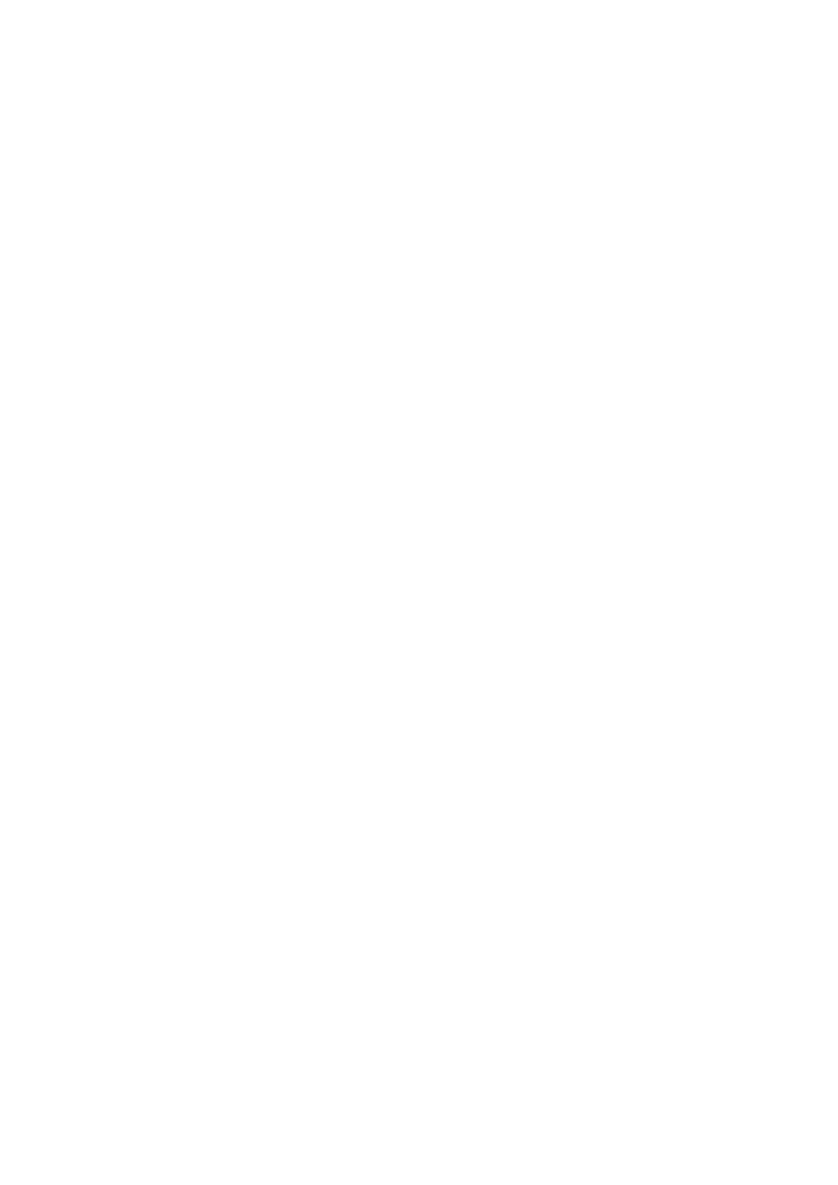| ---- |  |
|------|--|
|      |  |
|      |  |
|      |  |
|      |  |
|      |  |
|      |  |
|      |  |
|      |  |
|      |  |
|      |  |
|      |  |
|      |  |
|      |  |
|      |  |
|      |  |
|      |  |
|      |  |
|      |  |
|      |  |
|      |  |
|      |  |
|      |  |
|      |  |
|      |  |
|      |  |
|      |  |
|      |  |
|      |  |
|      |  |
|      |  |
|      |  |
|      |  |
|      |  |
|      |  |
|      |  |
|      |  |
|      |  |
|      |  |
|      |  |
|      |  |
|      |  |
|      |  |
|      |  |
|      |  |
|      |  |
|      |  |
|      |  |
|      |  |
|      |  |
|      |  |
|      |  |
|      |  |
|      |  |
|      |  |
|      |  |
|      |  |
|      |  |
|      |  |

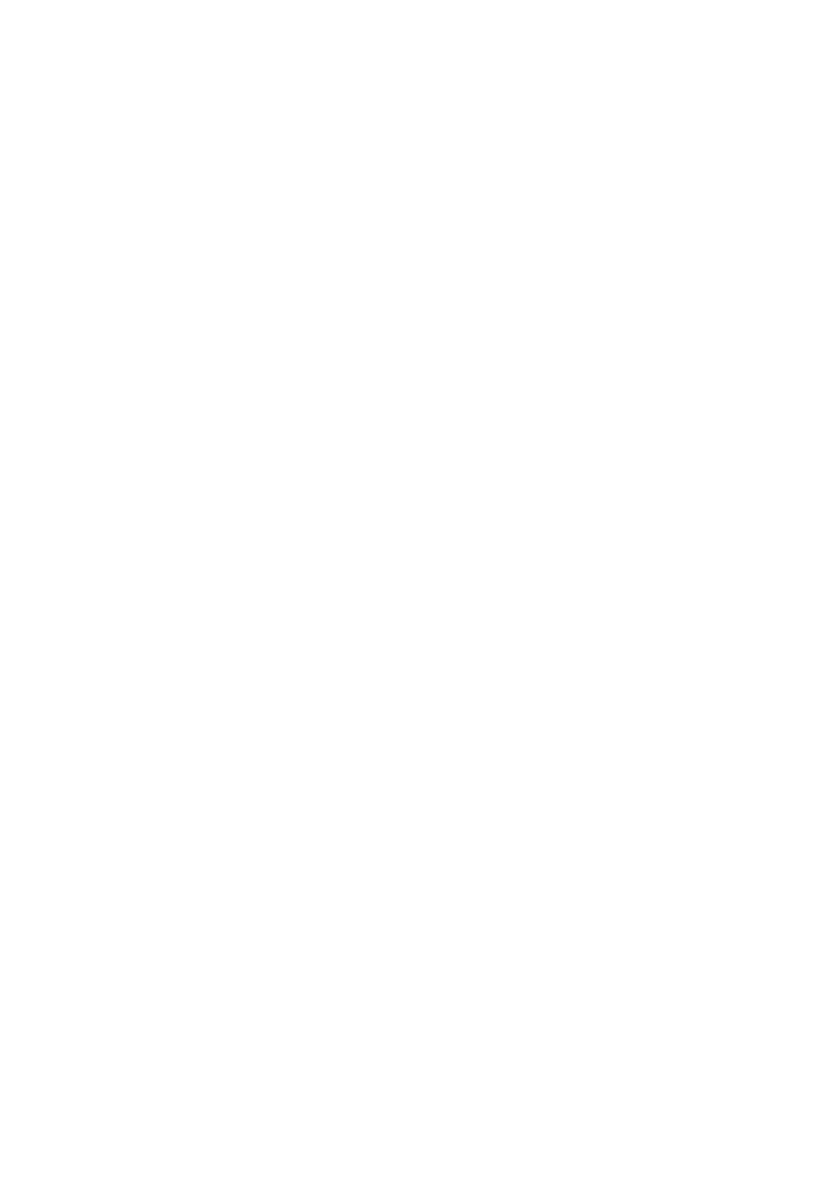| ---- |  |
|------|--|
|      |  |
|      |  |
|      |  |
|      |  |
|      |  |
|      |  |
|      |  |
|      |  |
|      |  |
|      |  |
|      |  |
|      |  |
|      |  |
|      |  |
|      |  |
|      |  |
|      |  |
|      |  |
|      |  |
|      |  |
|      |  |
|      |  |
|      |  |
|      |  |
|      |  |
|      |  |
|      |  |
|      |  |
|      |  |
|      |  |
|      |  |
|      |  |
|      |  |
|      |  |
|      |  |
|      |  |
|      |  |
|      |  |
|      |  |
|      |  |
|      |  |
|      |  |
|      |  |
|      |  |
|      |  |
|      |  |
|      |  |
|      |  |
|      |  |
|      |  |
|      |  |
|      |  |
|      |  |
|      |  |
|      |  |
|      |  |
|      |  |
|      |  |

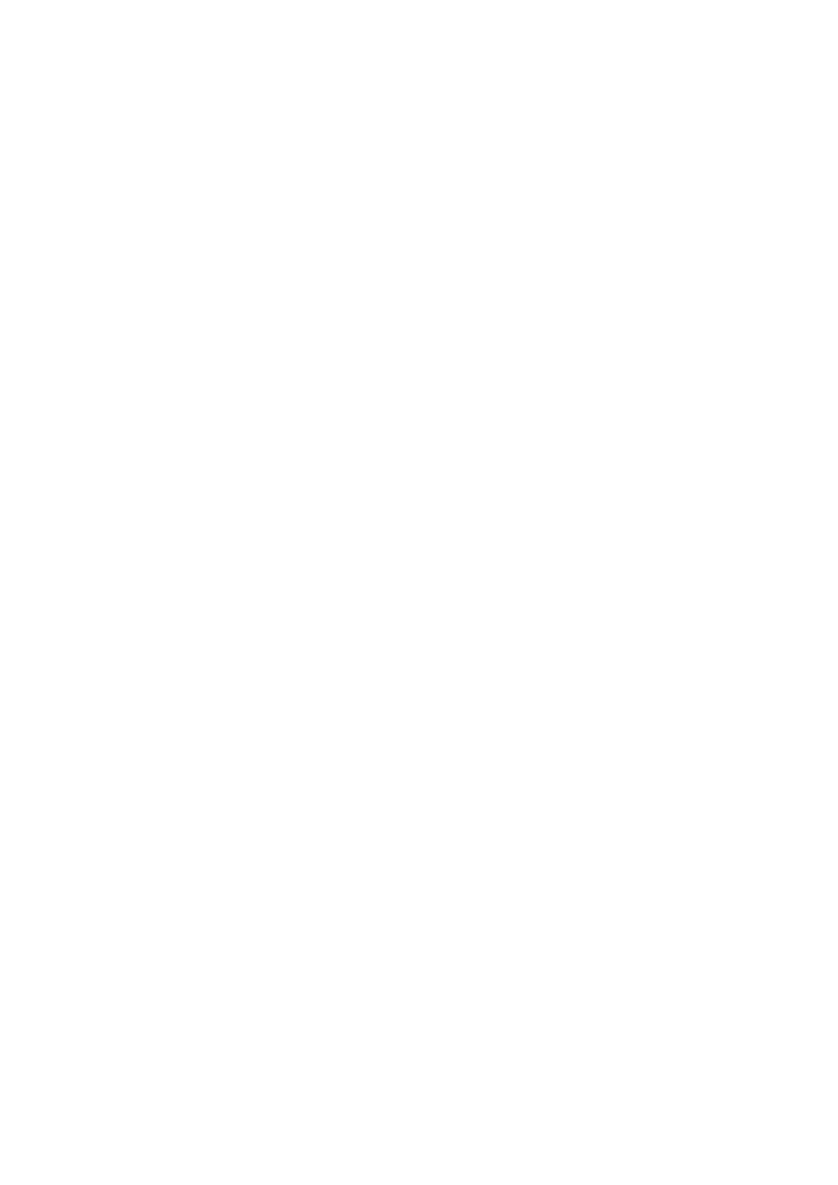| ---- |  |
|------|--|
|      |  |
|      |  |
|      |  |
|      |  |
|      |  |
|      |  |
|      |  |
|      |  |
|      |  |
|      |  |
|      |  |
|      |  |
|      |  |
|      |  |
|      |  |
|      |  |
|      |  |
|      |  |
|      |  |
|      |  |
|      |  |
|      |  |
|      |  |
|      |  |
|      |  |
|      |  |
|      |  |
|      |  |
|      |  |
|      |  |
|      |  |
|      |  |
|      |  |
|      |  |
|      |  |
|      |  |
|      |  |
|      |  |
|      |  |
|      |  |
|      |  |
|      |  |
|      |  |
|      |  |
|      |  |
|      |  |
|      |  |
|      |  |
|      |  |
|      |  |
|      |  |
|      |  |
|      |  |
|      |  |
|      |  |
|      |  |
|      |  |
|      |  |

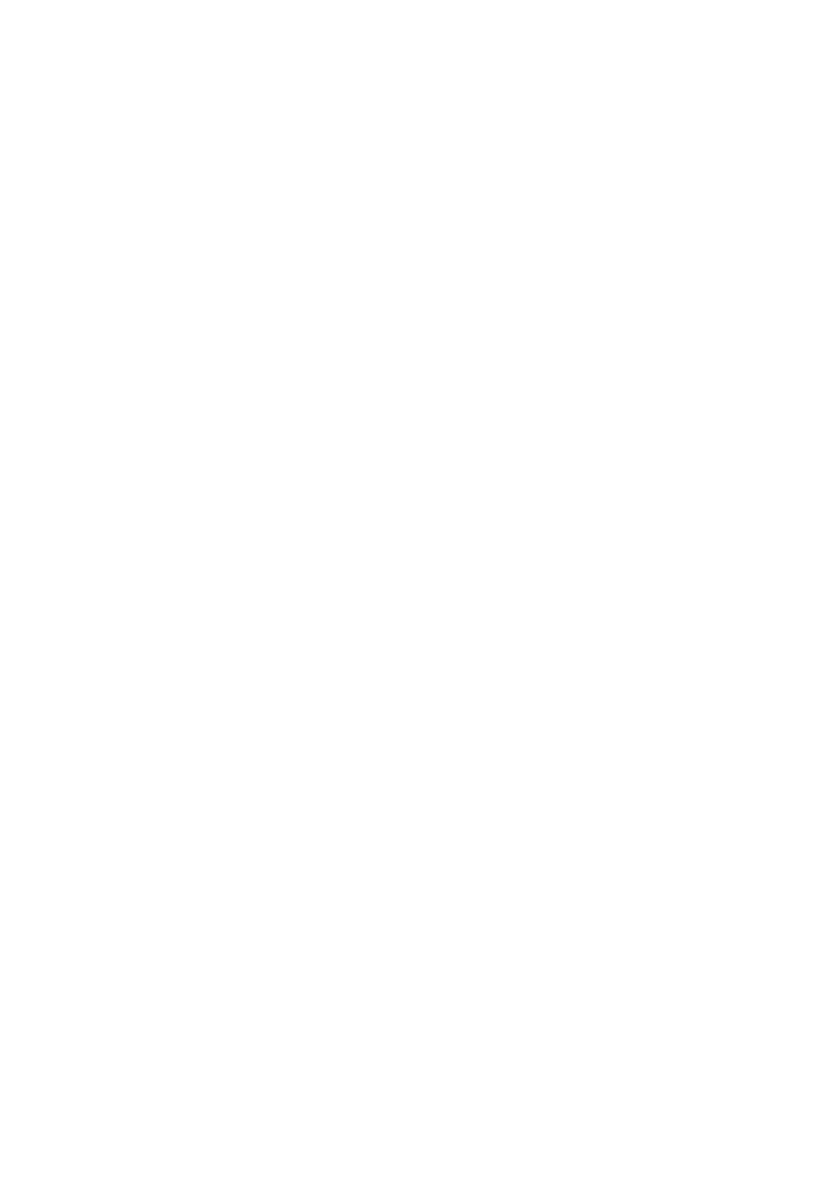| ---- |  |
|------|--|
|      |  |
|      |  |
|      |  |
|      |  |
|      |  |
|      |  |
|      |  |
|      |  |
|      |  |
|      |  |
|      |  |
|      |  |
|      |  |
|      |  |
|      |  |
|      |  |
|      |  |
|      |  |
|      |  |
|      |  |
|      |  |
|      |  |
|      |  |
|      |  |
|      |  |
|      |  |
|      |  |
|      |  |
|      |  |
|      |  |
|      |  |
|      |  |
|      |  |
|      |  |
|      |  |
|      |  |
|      |  |
|      |  |
|      |  |
|      |  |
|      |  |
|      |  |
|      |  |
|      |  |
|      |  |
|      |  |
|      |  |
|      |  |
|      |  |
|      |  |
|      |  |
|      |  |
|      |  |
|      |  |
|      |  |
|      |  |
|      |  |
|      |  |

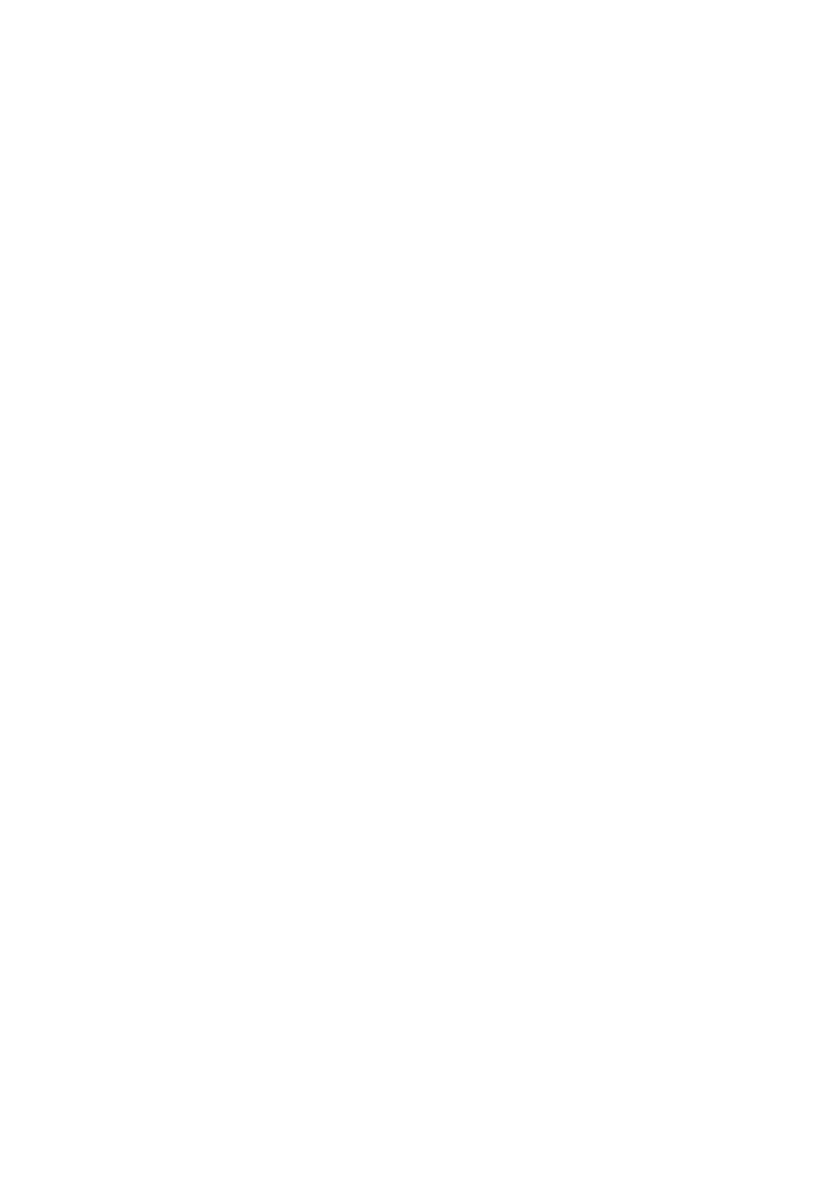| ---- |  |
|------|--|
|      |  |
|      |  |
|      |  |
|      |  |
|      |  |
|      |  |
|      |  |
|      |  |
|      |  |
|      |  |
|      |  |
|      |  |
|      |  |
|      |  |
|      |  |
|      |  |
|      |  |
|      |  |
|      |  |
|      |  |
|      |  |
|      |  |
|      |  |
|      |  |
|      |  |
|      |  |
|      |  |
|      |  |
|      |  |
|      |  |
|      |  |
|      |  |
|      |  |
|      |  |
|      |  |
|      |  |
|      |  |
|      |  |
|      |  |
|      |  |
|      |  |
|      |  |
|      |  |
|      |  |
|      |  |
|      |  |
|      |  |
|      |  |
|      |  |
|      |  |
|      |  |
|      |  |
|      |  |
|      |  |
|      |  |
|      |  |
|      |  |
|      |  |

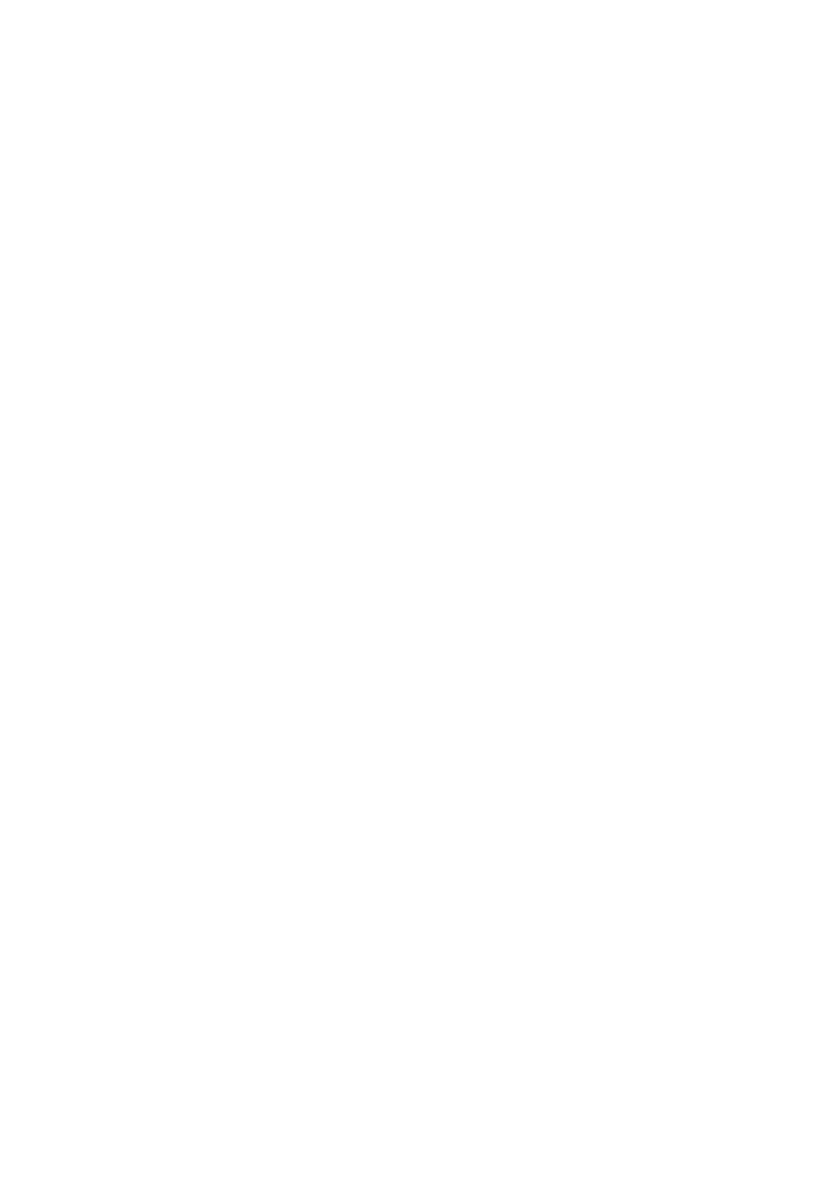| ---- |  |
|------|--|
|      |  |
|      |  |
|      |  |
|      |  |
|      |  |
|      |  |
|      |  |
|      |  |
|      |  |
|      |  |
|      |  |
|      |  |
|      |  |
|      |  |
|      |  |
|      |  |
|      |  |
|      |  |
|      |  |
|      |  |
|      |  |
|      |  |
|      |  |
|      |  |
|      |  |
|      |  |
|      |  |
|      |  |
|      |  |
|      |  |
|      |  |
|      |  |
|      |  |
|      |  |
|      |  |
|      |  |
|      |  |
|      |  |
|      |  |
|      |  |
|      |  |
|      |  |
|      |  |
|      |  |
|      |  |
|      |  |
|      |  |
|      |  |
|      |  |
|      |  |
|      |  |
|      |  |
|      |  |
|      |  |
|      |  |
|      |  |
|      |  |
|      |  |

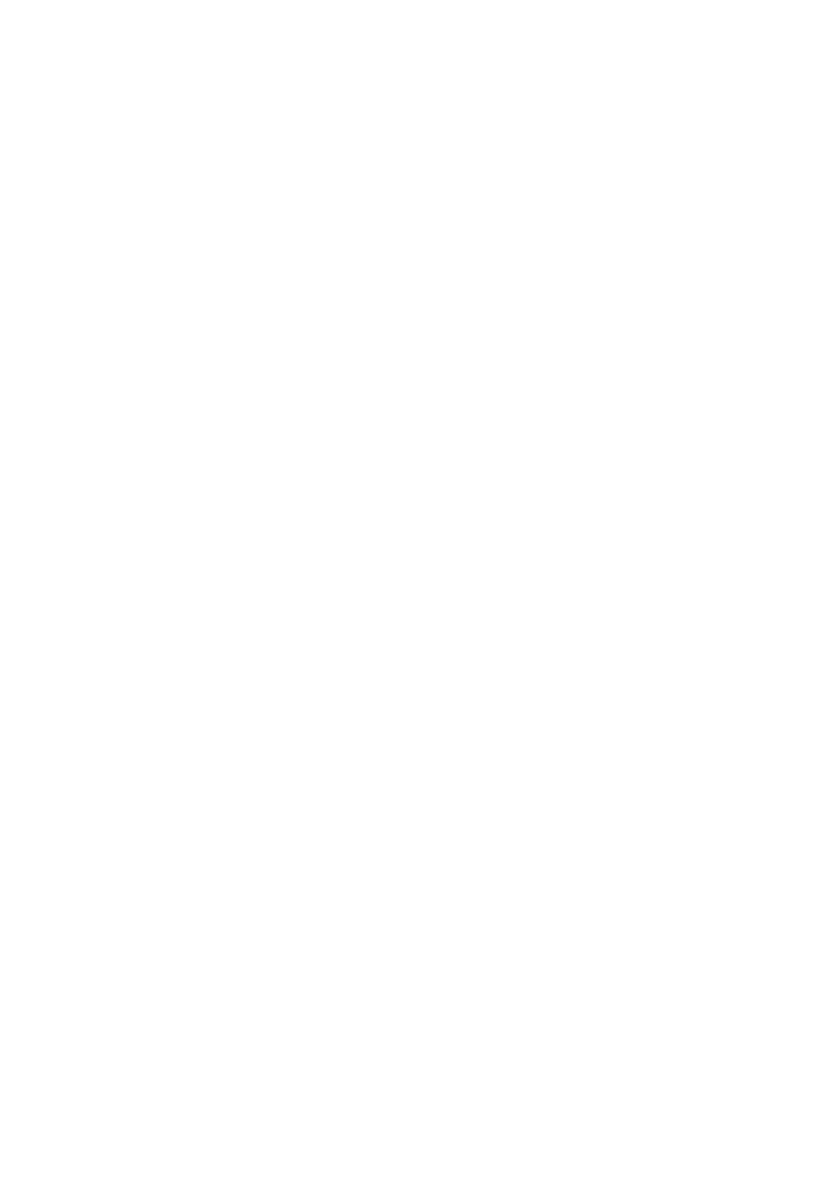| ---- |  |
|------|--|
|      |  |
|      |  |
|      |  |
|      |  |
|      |  |
|      |  |
|      |  |
|      |  |
|      |  |
|      |  |
|      |  |
|      |  |
|      |  |
|      |  |
|      |  |
|      |  |
|      |  |
|      |  |
|      |  |
|      |  |
|      |  |
|      |  |
|      |  |
|      |  |
|      |  |
|      |  |
|      |  |
|      |  |
|      |  |
|      |  |
|      |  |
|      |  |
|      |  |
|      |  |
|      |  |
|      |  |
|      |  |
|      |  |
|      |  |
|      |  |
|      |  |
|      |  |
|      |  |
|      |  |
|      |  |
|      |  |
|      |  |
|      |  |
|      |  |
|      |  |
|      |  |
|      |  |
|      |  |
|      |  |
|      |  |
|      |  |
|      |  |
|      |  |

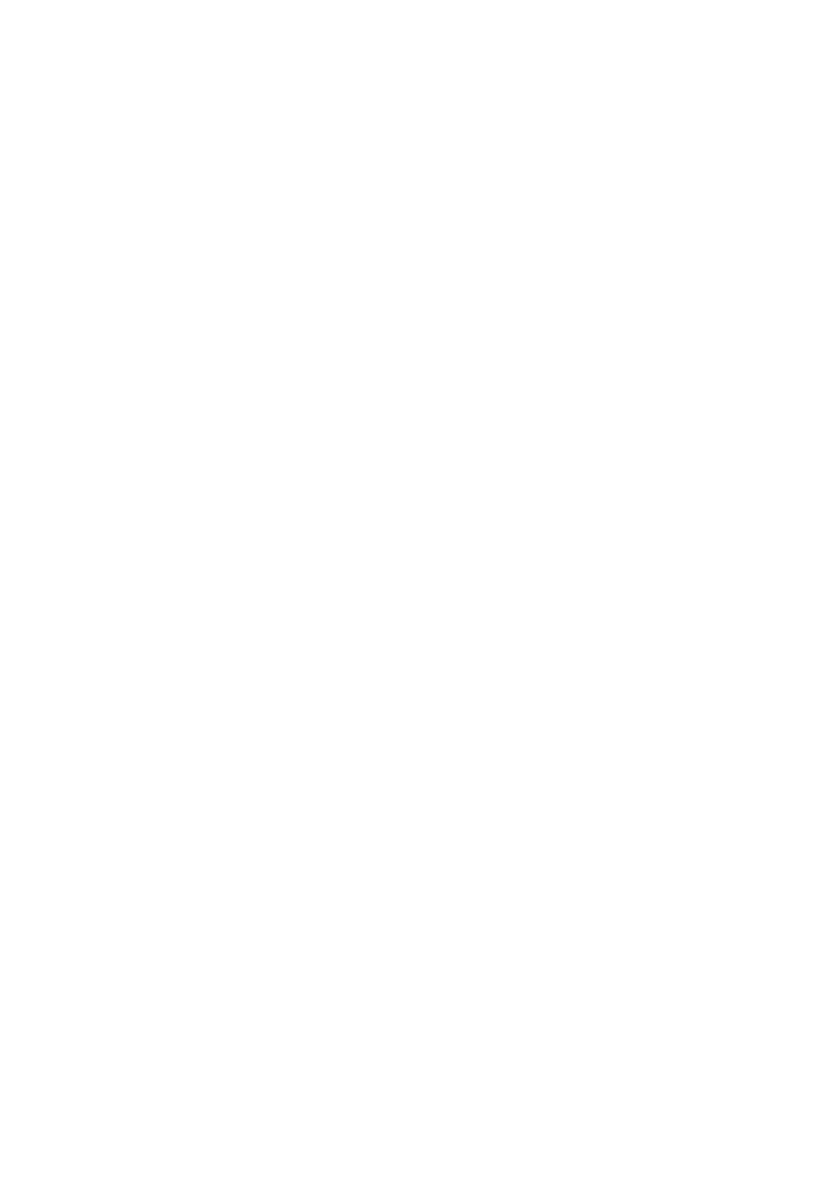| ---- |  |
|------|--|
|      |  |
|      |  |
|      |  |
|      |  |
|      |  |
|      |  |
|      |  |
|      |  |
|      |  |
|      |  |
|      |  |
|      |  |
|      |  |
|      |  |
|      |  |
|      |  |
|      |  |
|      |  |
|      |  |
|      |  |
|      |  |
|      |  |
|      |  |
|      |  |
|      |  |
|      |  |
|      |  |
|      |  |
|      |  |
|      |  |
|      |  |
|      |  |
|      |  |
|      |  |
|      |  |
|      |  |
|      |  |
|      |  |
|      |  |
|      |  |
|      |  |
|      |  |
|      |  |
|      |  |
|      |  |
|      |  |
|      |  |
|      |  |
|      |  |
|      |  |
|      |  |
|      |  |
|      |  |
|      |  |
|      |  |
|      |  |
|      |  |
|      |  |

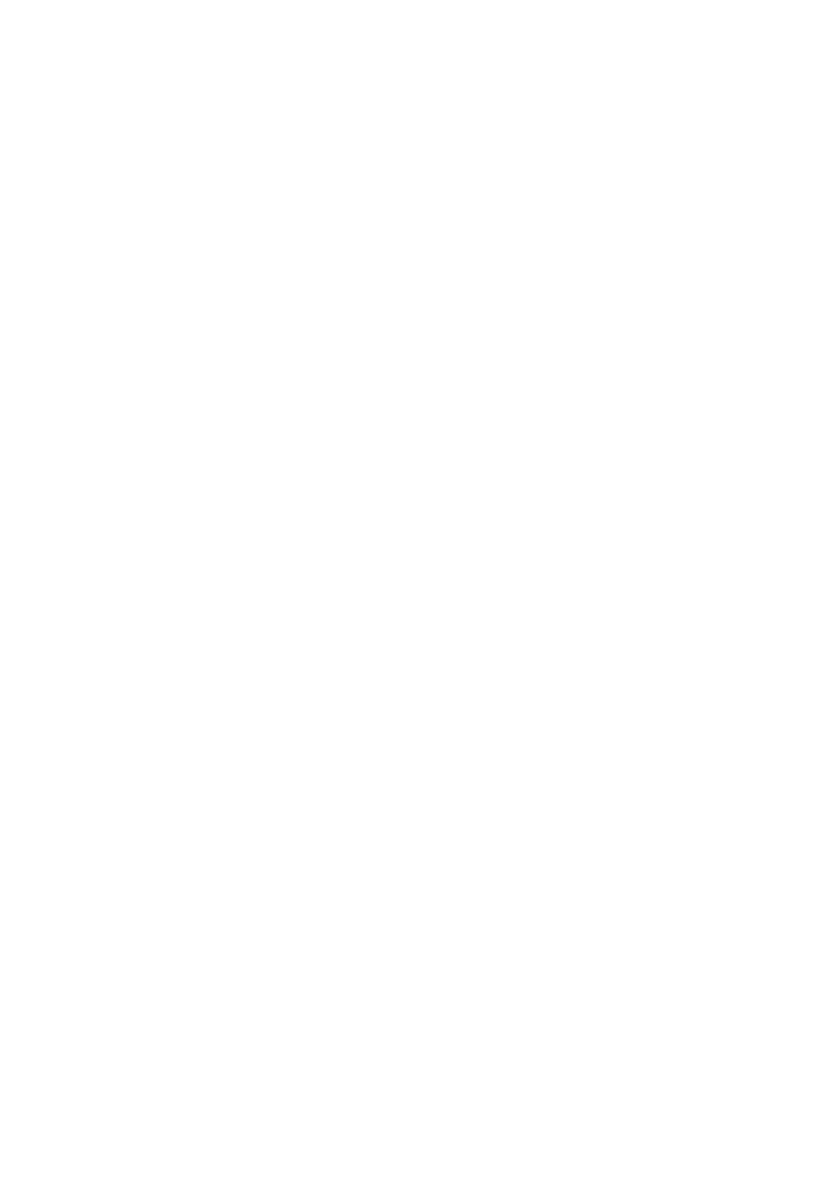| ---- |  |
|------|--|
|      |  |
|      |  |
|      |  |
|      |  |
|      |  |
|      |  |
|      |  |
|      |  |
|      |  |
|      |  |
|      |  |
|      |  |
|      |  |
|      |  |
|      |  |
|      |  |
|      |  |
|      |  |
|      |  |
|      |  |
|      |  |
|      |  |
|      |  |
|      |  |
|      |  |
|      |  |
|      |  |
|      |  |
|      |  |
|      |  |
|      |  |
|      |  |
|      |  |
|      |  |
|      |  |
|      |  |
|      |  |
|      |  |
|      |  |
|      |  |
|      |  |
|      |  |
|      |  |
|      |  |
|      |  |
|      |  |
|      |  |
|      |  |
|      |  |
|      |  |
|      |  |
|      |  |
|      |  |
|      |  |
|      |  |
|      |  |
|      |  |
|      |  |

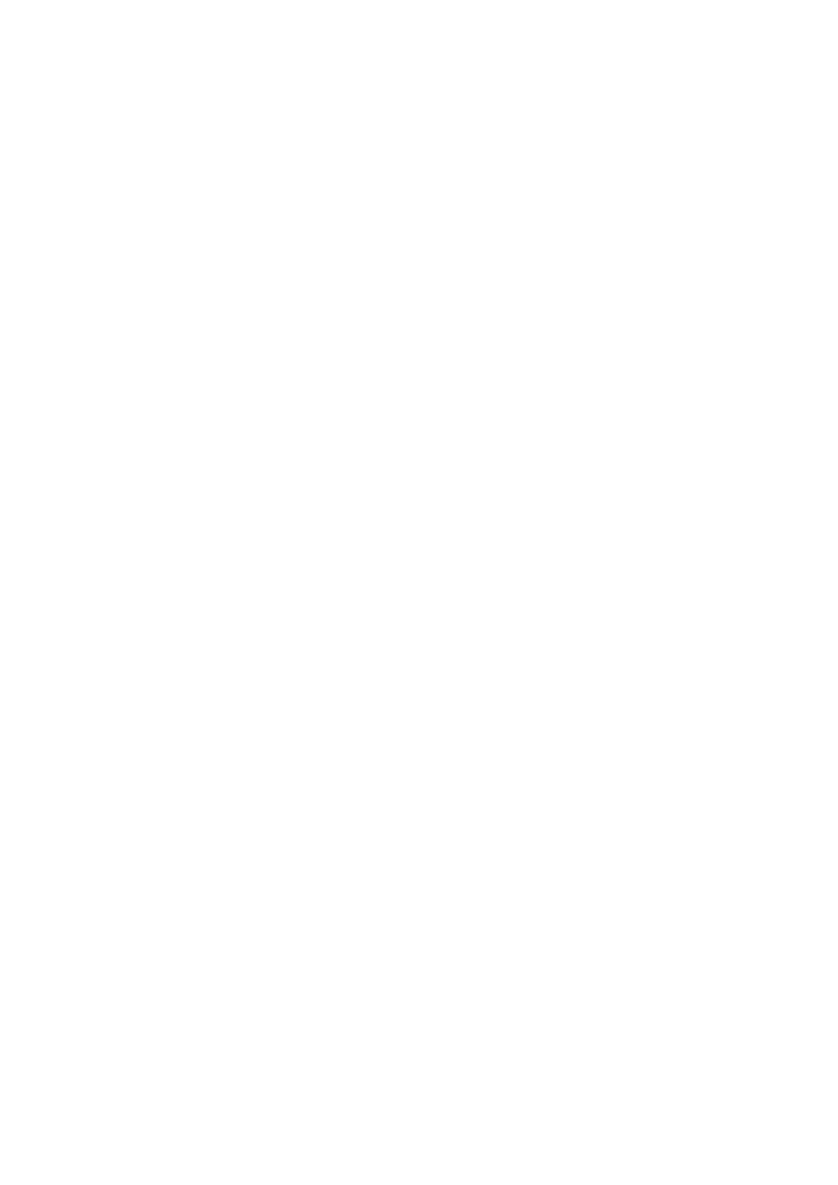| ---- |  |
|------|--|
|      |  |
|      |  |
|      |  |
|      |  |
|      |  |
|      |  |
|      |  |
|      |  |
|      |  |
|      |  |
|      |  |
|      |  |
|      |  |
|      |  |
|      |  |
|      |  |
|      |  |
|      |  |
|      |  |
|      |  |
|      |  |
|      |  |
|      |  |
|      |  |
|      |  |
|      |  |
|      |  |
|      |  |
|      |  |
|      |  |
|      |  |
|      |  |
|      |  |
|      |  |
|      |  |
|      |  |
|      |  |
|      |  |
|      |  |
|      |  |
|      |  |
|      |  |
|      |  |
|      |  |
|      |  |
|      |  |
|      |  |
|      |  |
|      |  |
|      |  |
|      |  |
|      |  |
|      |  |
|      |  |
|      |  |
|      |  |
|      |  |
|      |  |

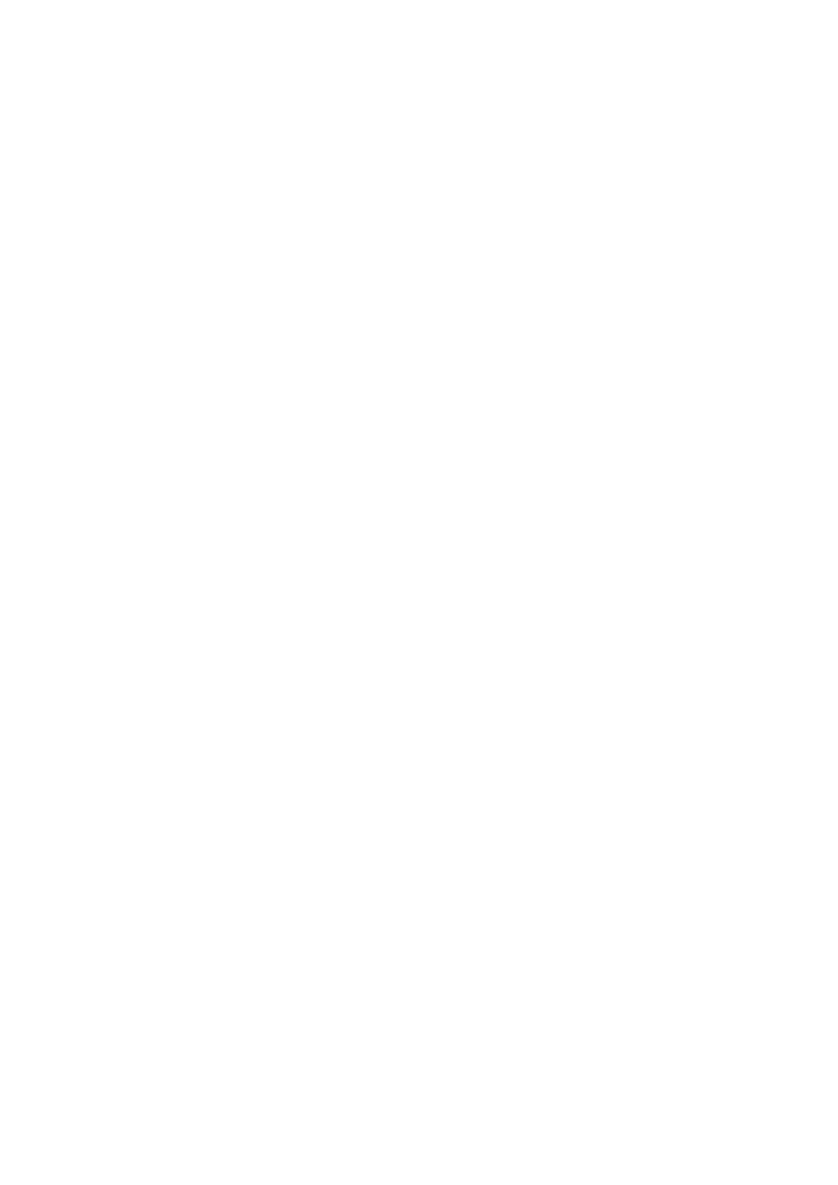| ---- |  |
|------|--|
|      |  |
|      |  |
|      |  |
|      |  |
|      |  |
|      |  |
|      |  |
|      |  |
|      |  |
|      |  |
|      |  |
|      |  |
|      |  |
|      |  |
|      |  |
|      |  |
|      |  |
|      |  |
|      |  |
|      |  |
|      |  |
|      |  |
|      |  |
|      |  |
|      |  |
|      |  |
|      |  |
|      |  |
|      |  |
|      |  |
|      |  |
|      |  |
|      |  |
|      |  |
|      |  |
|      |  |
|      |  |
|      |  |
|      |  |
|      |  |
|      |  |
|      |  |
|      |  |
|      |  |
|      |  |
|      |  |
|      |  |
|      |  |
|      |  |
|      |  |
|      |  |
|      |  |
|      |  |
|      |  |
|      |  |
|      |  |
|      |  |
|      |  |

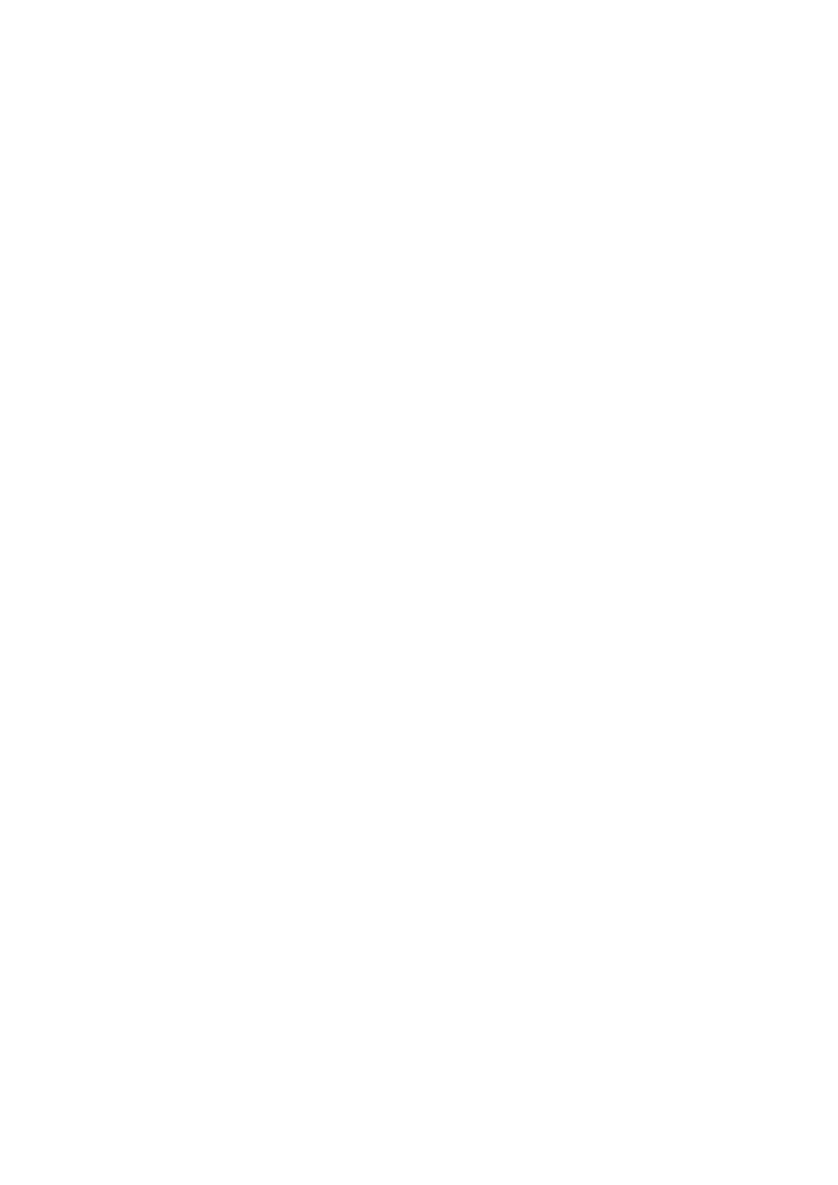| ---- |  |
|------|--|
|      |  |
|      |  |
|      |  |
|      |  |
|      |  |
|      |  |
|      |  |
|      |  |
|      |  |
|      |  |
|      |  |
|      |  |
|      |  |
|      |  |
|      |  |
|      |  |
|      |  |
|      |  |
|      |  |
|      |  |
|      |  |
|      |  |
|      |  |
|      |  |
|      |  |
|      |  |
|      |  |
|      |  |
|      |  |
|      |  |
|      |  |
|      |  |
|      |  |
|      |  |
|      |  |
|      |  |
|      |  |
|      |  |
|      |  |
|      |  |
|      |  |
|      |  |
|      |  |
|      |  |
|      |  |
|      |  |
|      |  |
|      |  |
|      |  |
|      |  |
|      |  |
|      |  |
|      |  |
|      |  |
|      |  |
|      |  |
|      |  |
|      |  |

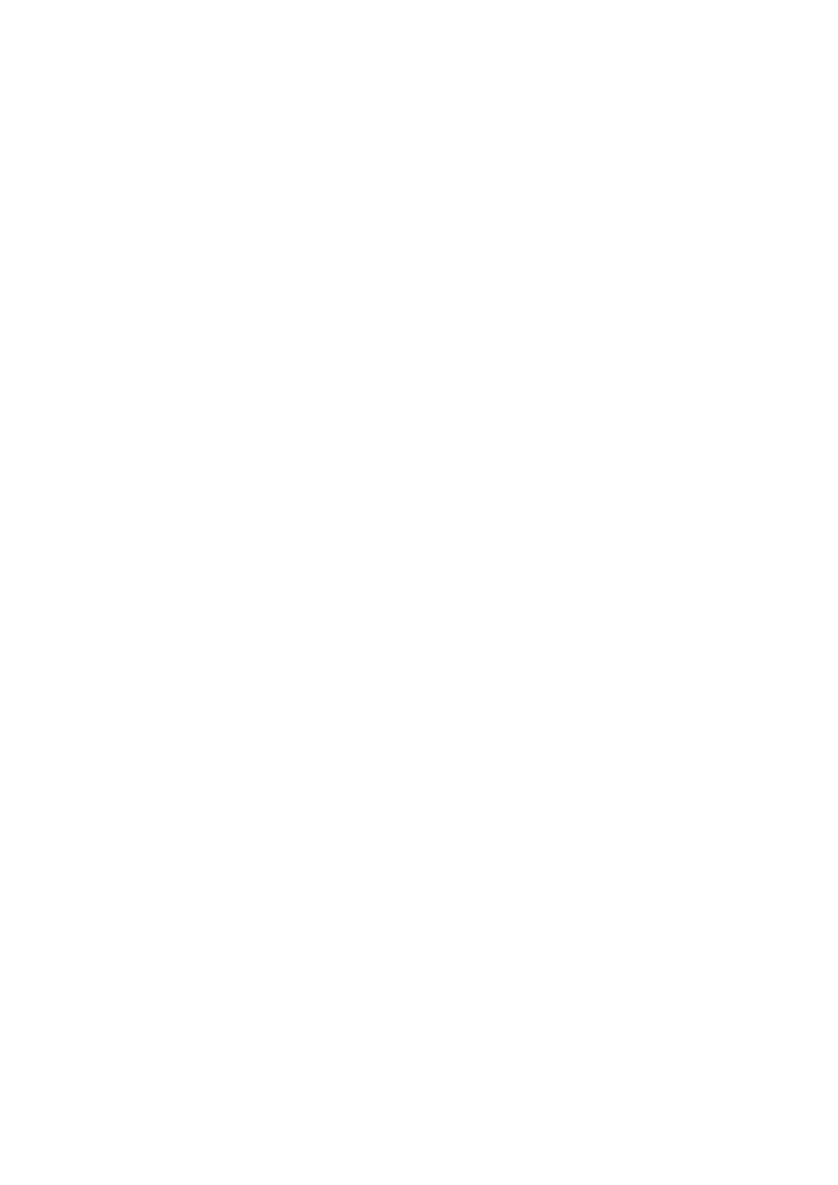| ---- |  |
|------|--|
|      |  |
|      |  |
|      |  |
|      |  |
|      |  |
|      |  |
|      |  |
|      |  |
|      |  |
|      |  |
|      |  |
|      |  |
|      |  |
|      |  |
|      |  |
|      |  |
|      |  |
|      |  |
|      |  |
|      |  |
|      |  |
|      |  |
|      |  |
|      |  |
|      |  |
|      |  |
|      |  |
|      |  |
|      |  |
|      |  |
|      |  |
|      |  |
|      |  |
|      |  |
|      |  |
|      |  |
|      |  |
|      |  |
|      |  |
|      |  |
|      |  |
|      |  |
|      |  |
|      |  |
|      |  |
|      |  |
|      |  |
|      |  |
|      |  |
|      |  |
|      |  |
|      |  |
|      |  |
|      |  |
|      |  |
|      |  |
|      |  |
|      |  |